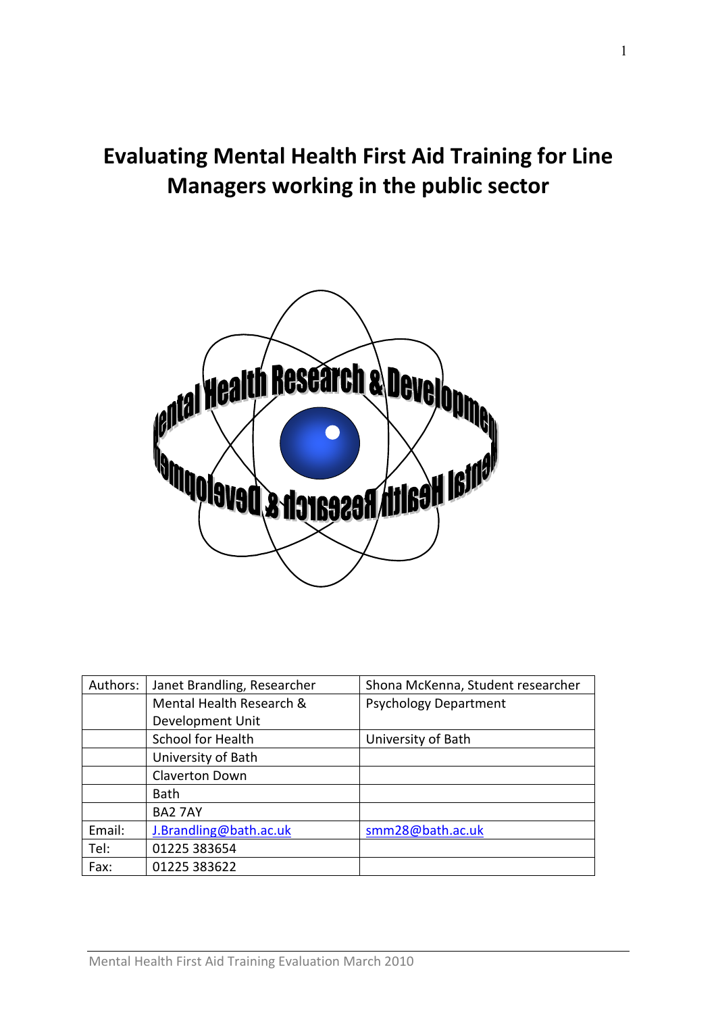# Evaluating Mental Health First Aid Training for Line Managers working in the public sector



| Authors: | Janet Brandling, Researcher | Shona McKenna, Student researcher |
|----------|-----------------------------|-----------------------------------|
|          | Mental Health Research &    | <b>Psychology Department</b>      |
|          | Development Unit            |                                   |
|          | <b>School for Health</b>    | University of Bath                |
|          | University of Bath          |                                   |
|          | <b>Claverton Down</b>       |                                   |
|          | <b>Bath</b>                 |                                   |
|          | <b>BA2 7AY</b>              |                                   |
| Email:   | J.Brandling@bath.ac.uk      | smm28@bath.ac.uk                  |
| Tel:     | 01225 383654                |                                   |
| Fax:     | 01225 383622                |                                   |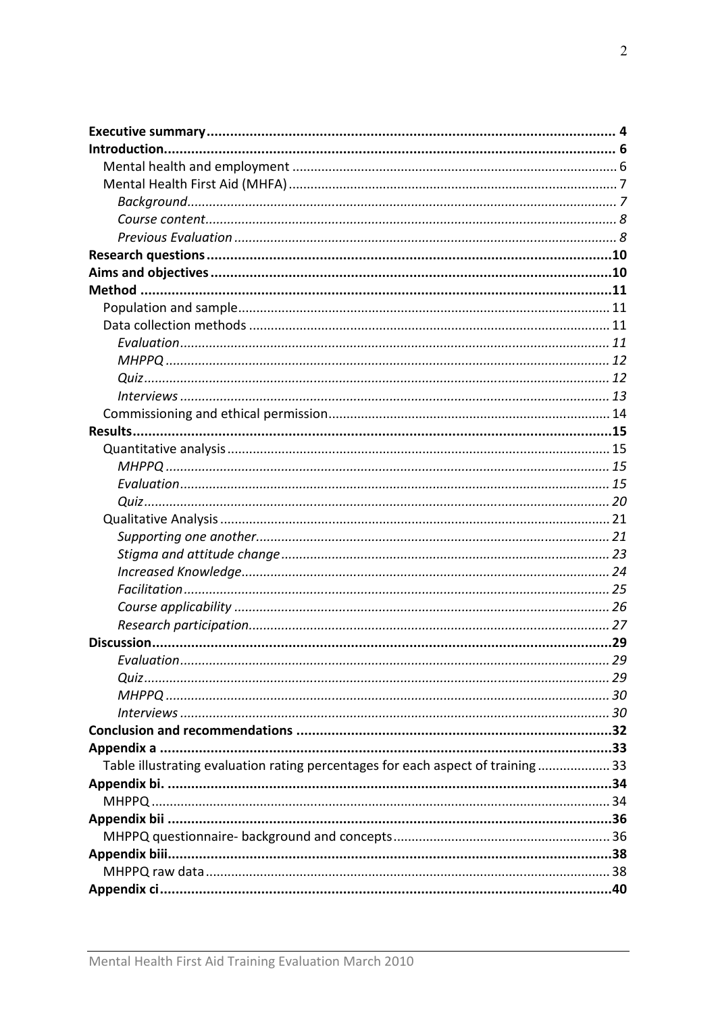| Table illustrating evaluation rating percentages for each aspect of training 33 |  |
|---------------------------------------------------------------------------------|--|
|                                                                                 |  |
|                                                                                 |  |
|                                                                                 |  |
|                                                                                 |  |
|                                                                                 |  |
|                                                                                 |  |
|                                                                                 |  |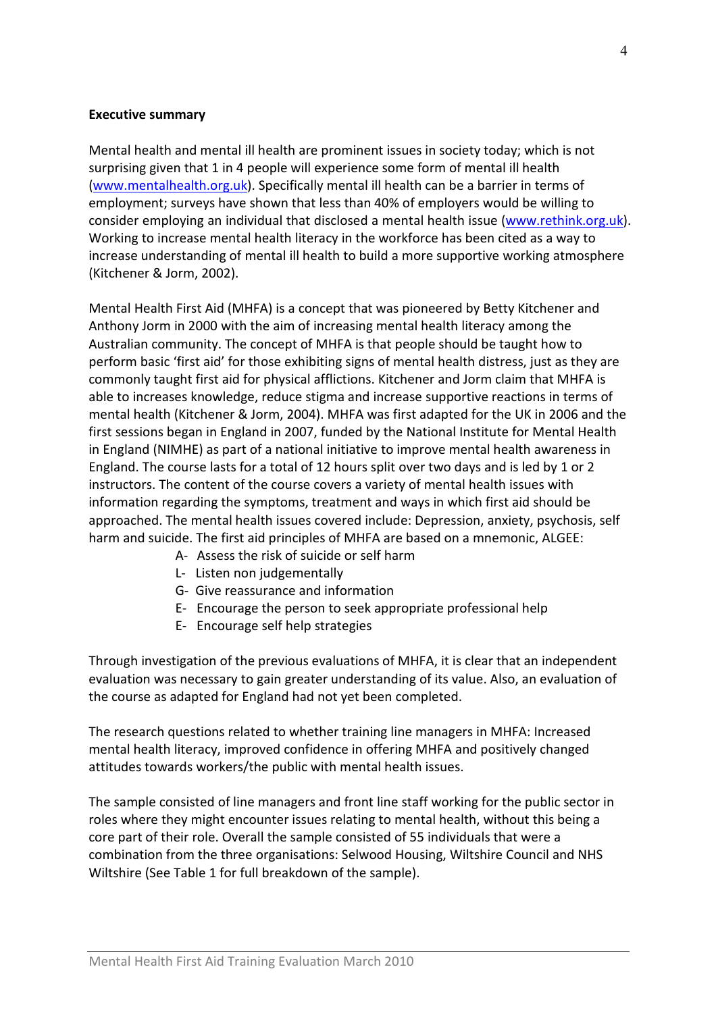#### Executive summary

Mental health and mental ill health are prominent issues in society today; which is not surprising given that 1 in 4 people will experience some form of mental ill health (www.mentalhealth.org.uk). Specifically mental ill health can be a barrier in terms of employment; surveys have shown that less than 40% of employers would be willing to consider employing an individual that disclosed a mental health issue (www.rethink.org.uk). Working to increase mental health literacy in the workforce has been cited as a way to increase understanding of mental ill health to build a more supportive working atmosphere (Kitchener & Jorm, 2002).

Mental Health First Aid (MHFA) is a concept that was pioneered by Betty Kitchener and Anthony Jorm in 2000 with the aim of increasing mental health literacy among the Australian community. The concept of MHFA is that people should be taught how to perform basic 'first aid' for those exhibiting signs of mental health distress, just as they are commonly taught first aid for physical afflictions. Kitchener and Jorm claim that MHFA is able to increases knowledge, reduce stigma and increase supportive reactions in terms of mental health (Kitchener & Jorm, 2004). MHFA was first adapted for the UK in 2006 and the first sessions began in England in 2007, funded by the National Institute for Mental Health in England (NIMHE) as part of a national initiative to improve mental health awareness in England. The course lasts for a total of 12 hours split over two days and is led by 1 or 2 instructors. The content of the course covers a variety of mental health issues with information regarding the symptoms, treatment and ways in which first aid should be approached. The mental health issues covered include: Depression, anxiety, psychosis, self harm and suicide. The first aid principles of MHFA are based on a mnemonic, ALGEE:

- A- Assess the risk of suicide or self harm
- L- Listen non judgementally
- G- Give reassurance and information
- E- Encourage the person to seek appropriate professional help
- E- Encourage self help strategies

Through investigation of the previous evaluations of MHFA, it is clear that an independent evaluation was necessary to gain greater understanding of its value. Also, an evaluation of the course as adapted for England had not yet been completed.

The research questions related to whether training line managers in MHFA: Increased mental health literacy, improved confidence in offering MHFA and positively changed attitudes towards workers/the public with mental health issues.

The sample consisted of line managers and front line staff working for the public sector in roles where they might encounter issues relating to mental health, without this being a core part of their role. Overall the sample consisted of 55 individuals that were a combination from the three organisations: Selwood Housing, Wiltshire Council and NHS Wiltshire (See Table 1 for full breakdown of the sample).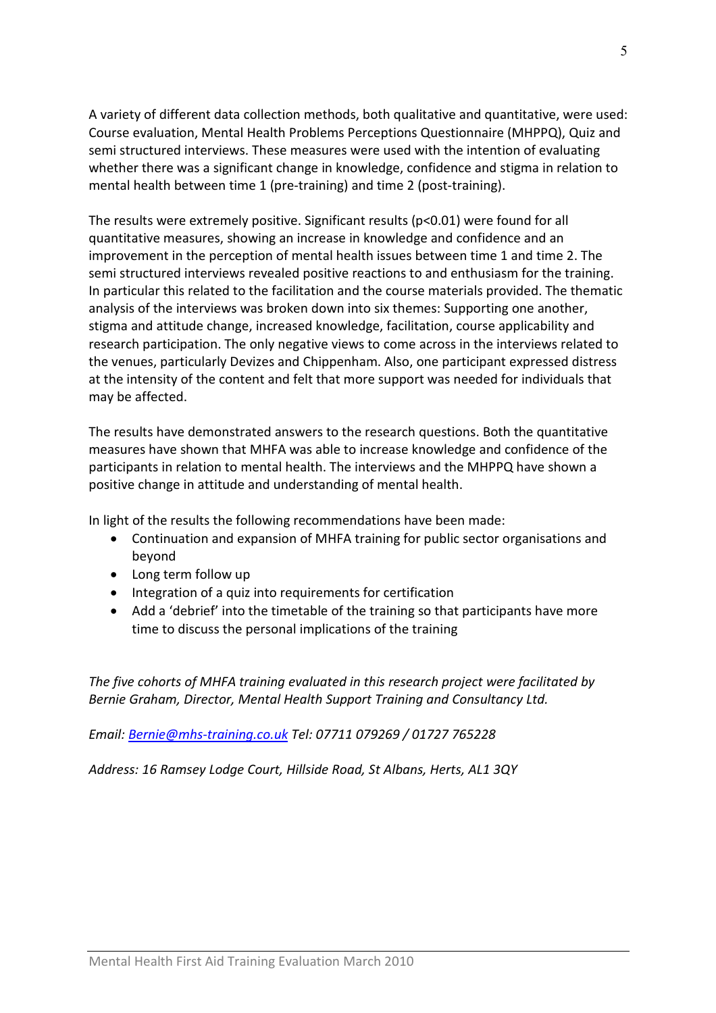A variety of different data collection methods, both qualitative and quantitative, were used: Course evaluation, Mental Health Problems Perceptions Questionnaire (MHPPQ), Quiz and semi structured interviews. These measures were used with the intention of evaluating whether there was a significant change in knowledge, confidence and stigma in relation to mental health between time 1 (pre-training) and time 2 (post-training).

The results were extremely positive. Significant results (p<0.01) were found for all quantitative measures, showing an increase in knowledge and confidence and an improvement in the perception of mental health issues between time 1 and time 2. The semi structured interviews revealed positive reactions to and enthusiasm for the training. In particular this related to the facilitation and the course materials provided. The thematic analysis of the interviews was broken down into six themes: Supporting one another, stigma and attitude change, increased knowledge, facilitation, course applicability and research participation. The only negative views to come across in the interviews related to the venues, particularly Devizes and Chippenham. Also, one participant expressed distress at the intensity of the content and felt that more support was needed for individuals that may be affected.

The results have demonstrated answers to the research questions. Both the quantitative measures have shown that MHFA was able to increase knowledge and confidence of the participants in relation to mental health. The interviews and the MHPPQ have shown a positive change in attitude and understanding of mental health.

In light of the results the following recommendations have been made:

- Continuation and expansion of MHFA training for public sector organisations and beyond
- Long term follow up
- Integration of a quiz into requirements for certification
- Add a 'debrief' into the timetable of the training so that participants have more time to discuss the personal implications of the training

The five cohorts of MHFA training evaluated in this research project were facilitated by Bernie Graham, Director, Mental Health Support Training and Consultancy Ltd.

Email: Bernie@mhs-training.co.uk Tel: 07711 079269 / 01727 765228

Address: 16 Ramsey Lodge Court, Hillside Road, St Albans, Herts, AL1 3QY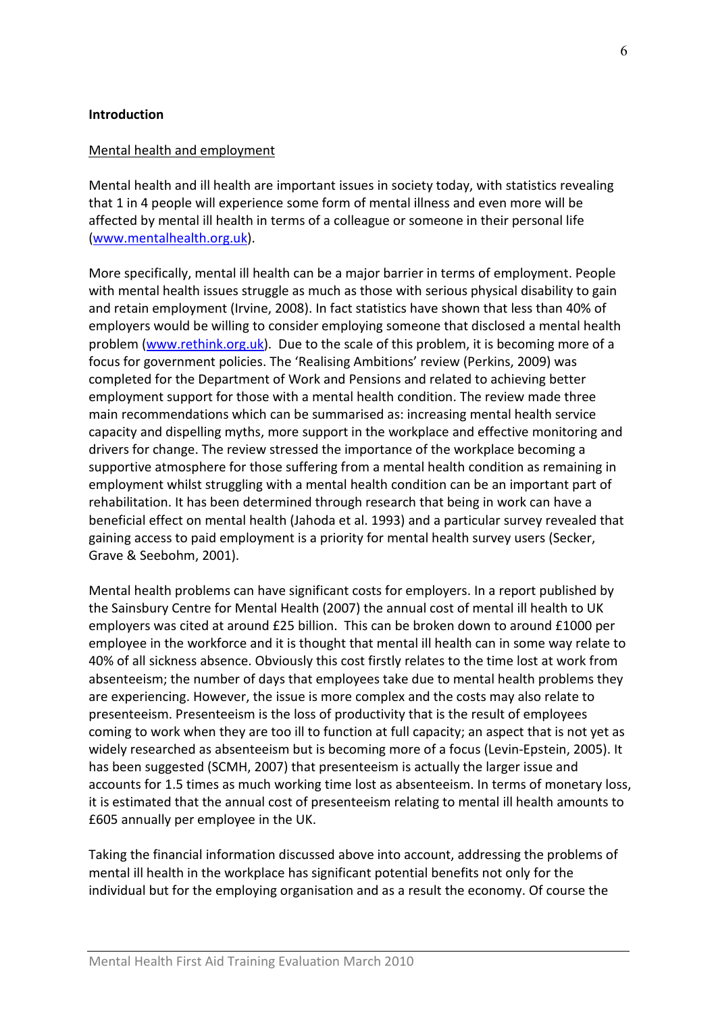#### Introduction

#### Mental health and employment

Mental health and ill health are important issues in society today, with statistics revealing that 1 in 4 people will experience some form of mental illness and even more will be affected by mental ill health in terms of a colleague or someone in their personal life (www.mentalhealth.org.uk).

More specifically, mental ill health can be a major barrier in terms of employment. People with mental health issues struggle as much as those with serious physical disability to gain and retain employment (Irvine, 2008). In fact statistics have shown that less than 40% of employers would be willing to consider employing someone that disclosed a mental health problem (www.rethink.org.uk). Due to the scale of this problem, it is becoming more of a focus for government policies. The 'Realising Ambitions' review (Perkins, 2009) was completed for the Department of Work and Pensions and related to achieving better employment support for those with a mental health condition. The review made three main recommendations which can be summarised as: increasing mental health service capacity and dispelling myths, more support in the workplace and effective monitoring and drivers for change. The review stressed the importance of the workplace becoming a supportive atmosphere for those suffering from a mental health condition as remaining in employment whilst struggling with a mental health condition can be an important part of rehabilitation. It has been determined through research that being in work can have a beneficial effect on mental health (Jahoda et al. 1993) and a particular survey revealed that gaining access to paid employment is a priority for mental health survey users (Secker, Grave & Seebohm, 2001).

Mental health problems can have significant costs for employers. In a report published by the Sainsbury Centre for Mental Health (2007) the annual cost of mental ill health to UK employers was cited at around £25 billion. This can be broken down to around £1000 per employee in the workforce and it is thought that mental ill health can in some way relate to 40% of all sickness absence. Obviously this cost firstly relates to the time lost at work from absenteeism; the number of days that employees take due to mental health problems they are experiencing. However, the issue is more complex and the costs may also relate to presenteeism. Presenteeism is the loss of productivity that is the result of employees coming to work when they are too ill to function at full capacity; an aspect that is not yet as widely researched as absenteeism but is becoming more of a focus (Levin-Epstein, 2005). It has been suggested (SCMH, 2007) that presenteeism is actually the larger issue and accounts for 1.5 times as much working time lost as absenteeism. In terms of monetary loss, it is estimated that the annual cost of presenteeism relating to mental ill health amounts to £605 annually per employee in the UK.

Taking the financial information discussed above into account, addressing the problems of mental ill health in the workplace has significant potential benefits not only for the individual but for the employing organisation and as a result the economy. Of course the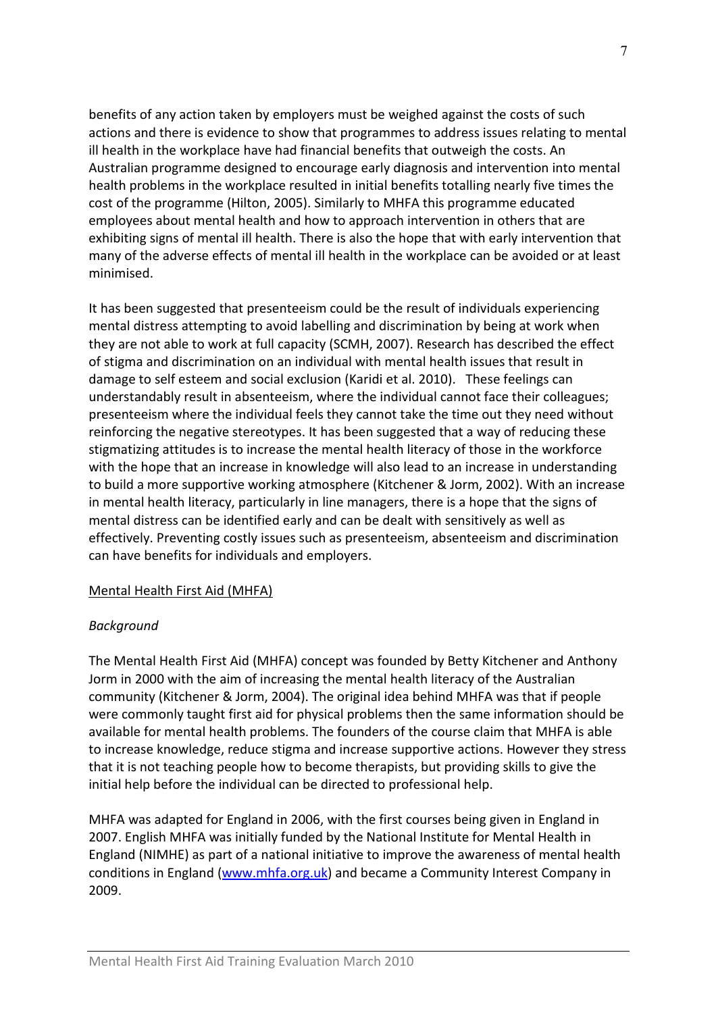benefits of any action taken by employers must be weighed against the costs of such actions and there is evidence to show that programmes to address issues relating to mental ill health in the workplace have had financial benefits that outweigh the costs. An Australian programme designed to encourage early diagnosis and intervention into mental health problems in the workplace resulted in initial benefits totalling nearly five times the cost of the programme (Hilton, 2005). Similarly to MHFA this programme educated employees about mental health and how to approach intervention in others that are exhibiting signs of mental ill health. There is also the hope that with early intervention that many of the adverse effects of mental ill health in the workplace can be avoided or at least minimised.

It has been suggested that presenteeism could be the result of individuals experiencing mental distress attempting to avoid labelling and discrimination by being at work when they are not able to work at full capacity (SCMH, 2007). Research has described the effect of stigma and discrimination on an individual with mental health issues that result in damage to self esteem and social exclusion (Karidi et al. 2010). These feelings can understandably result in absenteeism, where the individual cannot face their colleagues; presenteeism where the individual feels they cannot take the time out they need without reinforcing the negative stereotypes. It has been suggested that a way of reducing these stigmatizing attitudes is to increase the mental health literacy of those in the workforce with the hope that an increase in knowledge will also lead to an increase in understanding to build a more supportive working atmosphere (Kitchener & Jorm, 2002). With an increase in mental health literacy, particularly in line managers, there is a hope that the signs of mental distress can be identified early and can be dealt with sensitively as well as effectively. Preventing costly issues such as presenteeism, absenteeism and discrimination can have benefits for individuals and employers.

#### Mental Health First Aid (MHFA)

#### Background

The Mental Health First Aid (MHFA) concept was founded by Betty Kitchener and Anthony Jorm in 2000 with the aim of increasing the mental health literacy of the Australian community (Kitchener & Jorm, 2004). The original idea behind MHFA was that if people were commonly taught first aid for physical problems then the same information should be available for mental health problems. The founders of the course claim that MHFA is able to increase knowledge, reduce stigma and increase supportive actions. However they stress that it is not teaching people how to become therapists, but providing skills to give the initial help before the individual can be directed to professional help.

MHFA was adapted for England in 2006, with the first courses being given in England in 2007. English MHFA was initially funded by the National Institute for Mental Health in England (NIMHE) as part of a national initiative to improve the awareness of mental health conditions in England (www.mhfa.org.uk) and became a Community Interest Company in 2009.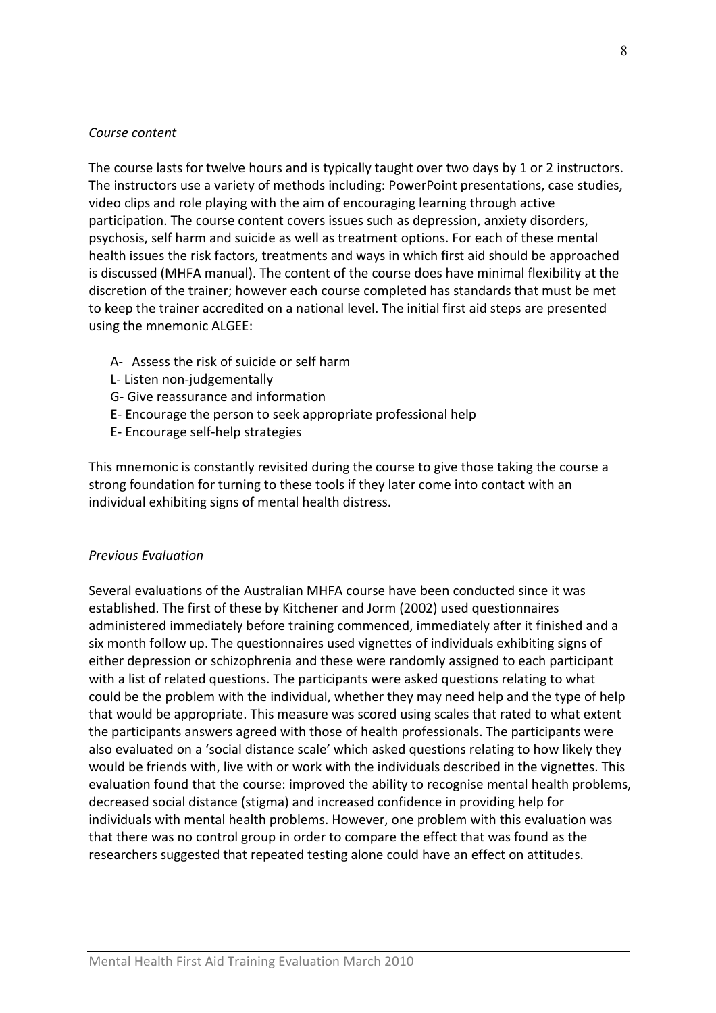#### Course content

The course lasts for twelve hours and is typically taught over two days by 1 or 2 instructors. The instructors use a variety of methods including: PowerPoint presentations, case studies, video clips and role playing with the aim of encouraging learning through active participation. The course content covers issues such as depression, anxiety disorders, psychosis, self harm and suicide as well as treatment options. For each of these mental health issues the risk factors, treatments and ways in which first aid should be approached is discussed (MHFA manual). The content of the course does have minimal flexibility at the discretion of the trainer; however each course completed has standards that must be met to keep the trainer accredited on a national level. The initial first aid steps are presented using the mnemonic ALGEE:

- A- Assess the risk of suicide or self harm
- L- Listen non-judgementally
- G- Give reassurance and information
- E- Encourage the person to seek appropriate professional help
- E- Encourage self-help strategies

This mnemonic is constantly revisited during the course to give those taking the course a strong foundation for turning to these tools if they later come into contact with an individual exhibiting signs of mental health distress.

#### Previous Evaluation

Several evaluations of the Australian MHFA course have been conducted since it was established. The first of these by Kitchener and Jorm (2002) used questionnaires administered immediately before training commenced, immediately after it finished and a six month follow up. The questionnaires used vignettes of individuals exhibiting signs of either depression or schizophrenia and these were randomly assigned to each participant with a list of related questions. The participants were asked questions relating to what could be the problem with the individual, whether they may need help and the type of help that would be appropriate. This measure was scored using scales that rated to what extent the participants answers agreed with those of health professionals. The participants were also evaluated on a 'social distance scale' which asked questions relating to how likely they would be friends with, live with or work with the individuals described in the vignettes. This evaluation found that the course: improved the ability to recognise mental health problems, decreased social distance (stigma) and increased confidence in providing help for individuals with mental health problems. However, one problem with this evaluation was that there was no control group in order to compare the effect that was found as the researchers suggested that repeated testing alone could have an effect on attitudes.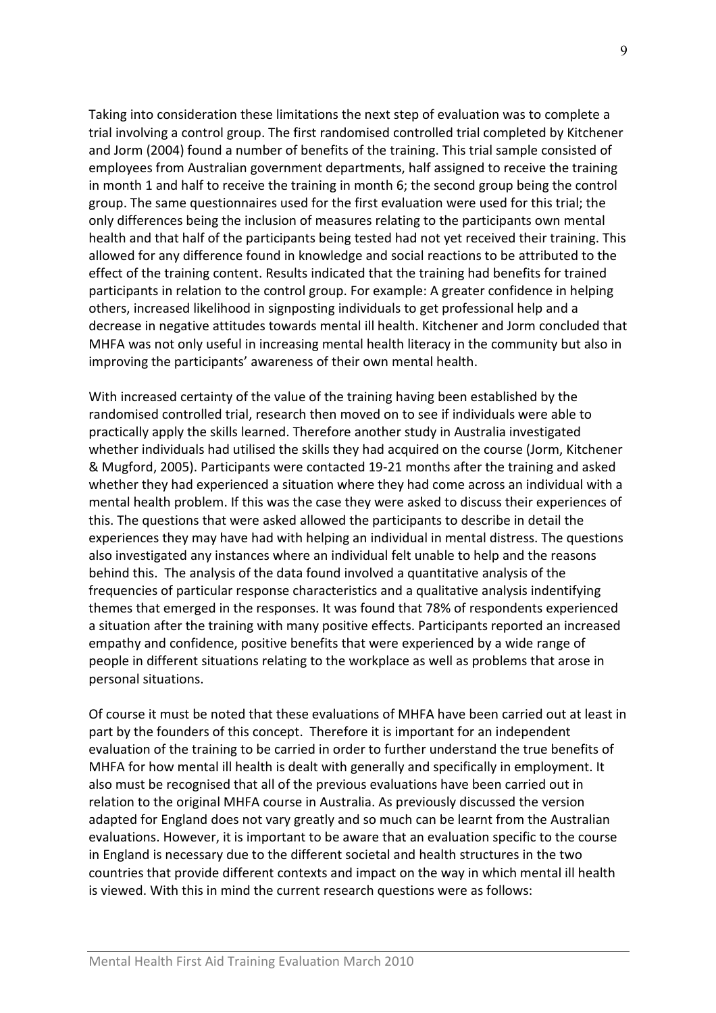Taking into consideration these limitations the next step of evaluation was to complete a trial involving a control group. The first randomised controlled trial completed by Kitchener and Jorm (2004) found a number of benefits of the training. This trial sample consisted of employees from Australian government departments, half assigned to receive the training in month 1 and half to receive the training in month 6; the second group being the control group. The same questionnaires used for the first evaluation were used for this trial; the only differences being the inclusion of measures relating to the participants own mental health and that half of the participants being tested had not yet received their training. This allowed for any difference found in knowledge and social reactions to be attributed to the effect of the training content. Results indicated that the training had benefits for trained participants in relation to the control group. For example: A greater confidence in helping others, increased likelihood in signposting individuals to get professional help and a decrease in negative attitudes towards mental ill health. Kitchener and Jorm concluded that MHFA was not only useful in increasing mental health literacy in the community but also in improving the participants' awareness of their own mental health.

With increased certainty of the value of the training having been established by the randomised controlled trial, research then moved on to see if individuals were able to practically apply the skills learned. Therefore another study in Australia investigated whether individuals had utilised the skills they had acquired on the course (Jorm, Kitchener & Mugford, 2005). Participants were contacted 19-21 months after the training and asked whether they had experienced a situation where they had come across an individual with a mental health problem. If this was the case they were asked to discuss their experiences of this. The questions that were asked allowed the participants to describe in detail the experiences they may have had with helping an individual in mental distress. The questions also investigated any instances where an individual felt unable to help and the reasons behind this. The analysis of the data found involved a quantitative analysis of the frequencies of particular response characteristics and a qualitative analysis indentifying themes that emerged in the responses. It was found that 78% of respondents experienced a situation after the training with many positive effects. Participants reported an increased empathy and confidence, positive benefits that were experienced by a wide range of people in different situations relating to the workplace as well as problems that arose in personal situations.

Of course it must be noted that these evaluations of MHFA have been carried out at least in part by the founders of this concept. Therefore it is important for an independent evaluation of the training to be carried in order to further understand the true benefits of MHFA for how mental ill health is dealt with generally and specifically in employment. It also must be recognised that all of the previous evaluations have been carried out in relation to the original MHFA course in Australia. As previously discussed the version adapted for England does not vary greatly and so much can be learnt from the Australian evaluations. However, it is important to be aware that an evaluation specific to the course in England is necessary due to the different societal and health structures in the two countries that provide different contexts and impact on the way in which mental ill health is viewed. With this in mind the current research questions were as follows: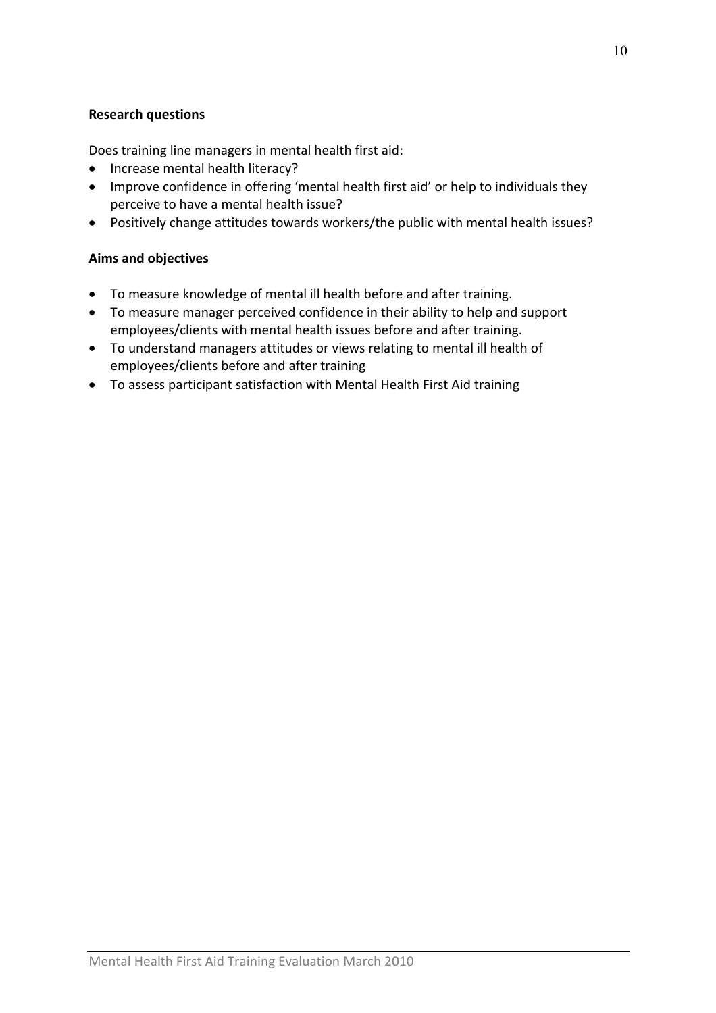## Research questions

Does training line managers in mental health first aid:

- Increase mental health literacy?
- Improve confidence in offering 'mental health first aid' or help to individuals they perceive to have a mental health issue?
- Positively change attitudes towards workers/the public with mental health issues?

## Aims and objectives

- To measure knowledge of mental ill health before and after training.
- To measure manager perceived confidence in their ability to help and support employees/clients with mental health issues before and after training.
- To understand managers attitudes or views relating to mental ill health of employees/clients before and after training
- To assess participant satisfaction with Mental Health First Aid training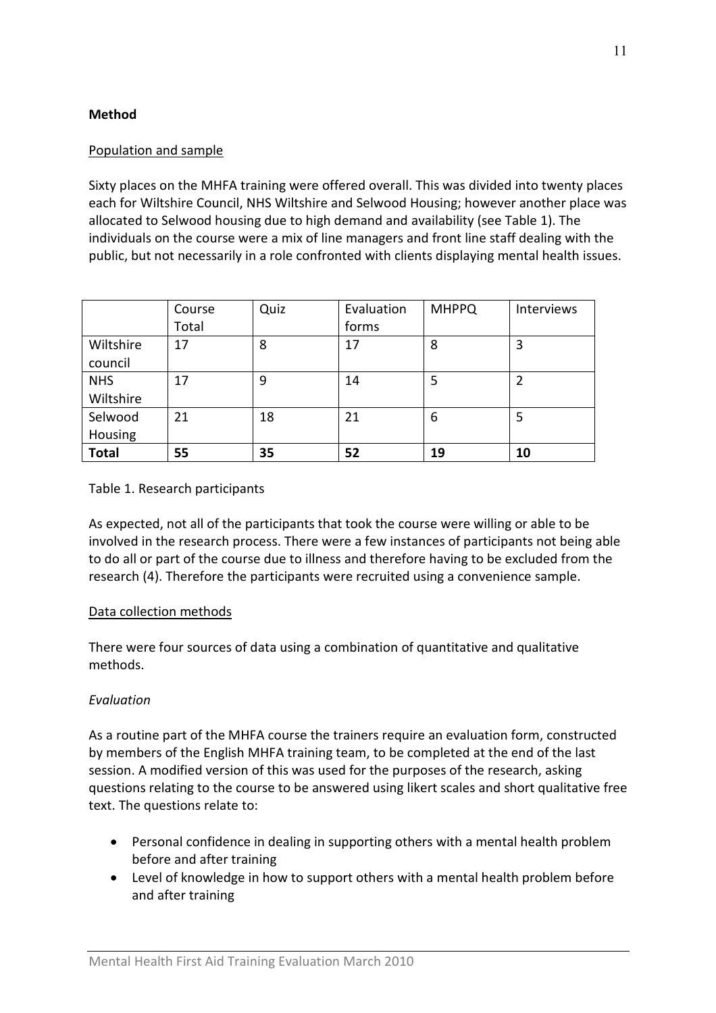## Method

## Population and sample

Sixty places on the MHFA training were offered overall. This was divided into twenty places each for Wiltshire Council, NHS Wiltshire and Selwood Housing; however another place was allocated to Selwood housing due to high demand and availability (see Table 1). The individuals on the course were a mix of line managers and front line staff dealing with the public, but not necessarily in a role confronted with clients displaying mental health issues.

|                         | Course<br>Total | Quiz | Evaluation<br>forms | <b>MHPPQ</b> | Interviews |
|-------------------------|-----------------|------|---------------------|--------------|------------|
| Wiltshire<br>council    | 17              | 8    | 17                  | 8            | 3          |
| <b>NHS</b><br>Wiltshire | 17              | 9    | 14                  | 5            | 2          |
| Selwood<br>Housing      | 21              | 18   | 21                  | 6            | 5          |
| <b>Total</b>            | 55              | 35   | 52                  | 19           | 10         |

## Table 1. Research participants

As expected, not all of the participants that took the course were willing or able to be involved in the research process. There were a few instances of participants not being able to do all or part of the course due to illness and therefore having to be excluded from the research (4). Therefore the participants were recruited using a convenience sample.

## Data collection methods

There were four sources of data using a combination of quantitative and qualitative methods.

## Evaluation

As a routine part of the MHFA course the trainers require an evaluation form, constructed by members of the English MHFA training team, to be completed at the end of the last session. A modified version of this was used for the purposes of the research, asking questions relating to the course to be answered using likert scales and short qualitative free text. The questions relate to:

- Personal confidence in dealing in supporting others with a mental health problem before and after training
- Level of knowledge in how to support others with a mental health problem before and after training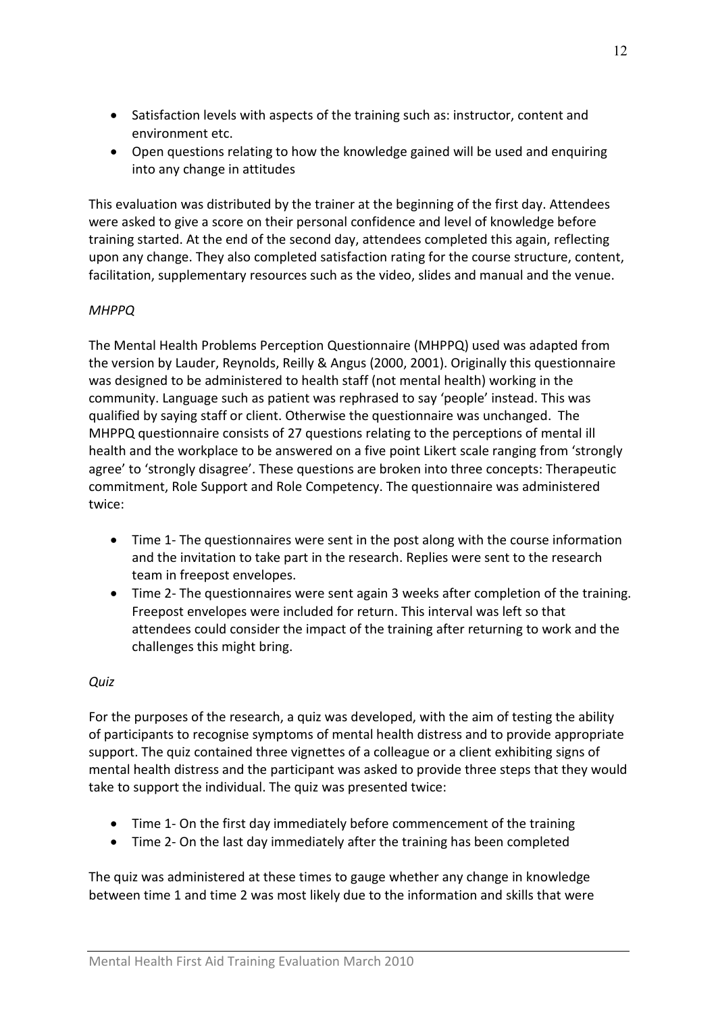- Satisfaction levels with aspects of the training such as: instructor, content and environment etc.
- Open questions relating to how the knowledge gained will be used and enquiring into any change in attitudes

This evaluation was distributed by the trainer at the beginning of the first day. Attendees were asked to give a score on their personal confidence and level of knowledge before training started. At the end of the second day, attendees completed this again, reflecting upon any change. They also completed satisfaction rating for the course structure, content, facilitation, supplementary resources such as the video, slides and manual and the venue.

## **MHPPQ**

The Mental Health Problems Perception Questionnaire (MHPPQ) used was adapted from the version by Lauder, Reynolds, Reilly & Angus (2000, 2001). Originally this questionnaire was designed to be administered to health staff (not mental health) working in the community. Language such as patient was rephrased to say 'people' instead. This was qualified by saying staff or client. Otherwise the questionnaire was unchanged. The MHPPQ questionnaire consists of 27 questions relating to the perceptions of mental ill health and the workplace to be answered on a five point Likert scale ranging from 'strongly agree' to 'strongly disagree'. These questions are broken into three concepts: Therapeutic commitment, Role Support and Role Competency. The questionnaire was administered twice:

- Time 1- The questionnaires were sent in the post along with the course information and the invitation to take part in the research. Replies were sent to the research team in freepost envelopes.
- Time 2- The questionnaires were sent again 3 weeks after completion of the training. Freepost envelopes were included for return. This interval was left so that attendees could consider the impact of the training after returning to work and the challenges this might bring.

## **Ouiz**

For the purposes of the research, a quiz was developed, with the aim of testing the ability of participants to recognise symptoms of mental health distress and to provide appropriate support. The quiz contained three vignettes of a colleague or a client exhibiting signs of mental health distress and the participant was asked to provide three steps that they would take to support the individual. The quiz was presented twice:

- Time 1- On the first day immediately before commencement of the training
- Time 2- On the last day immediately after the training has been completed

The quiz was administered at these times to gauge whether any change in knowledge between time 1 and time 2 was most likely due to the information and skills that were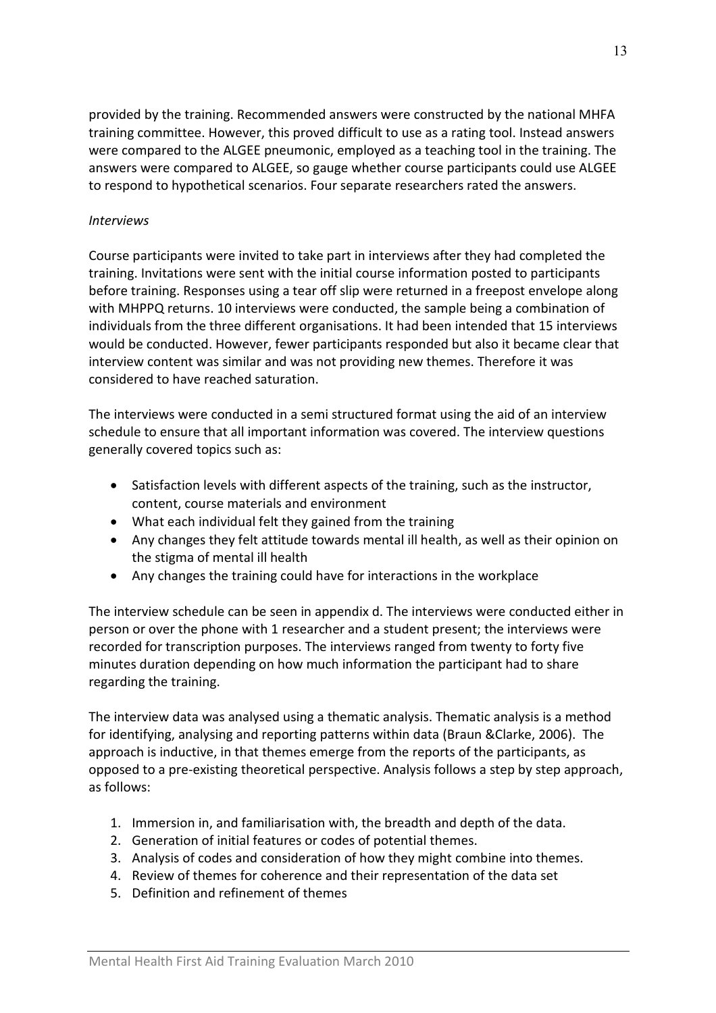provided by the training. Recommended answers were constructed by the national MHFA training committee. However, this proved difficult to use as a rating tool. Instead answers were compared to the ALGEE pneumonic, employed as a teaching tool in the training. The answers were compared to ALGEE, so gauge whether course participants could use ALGEE to respond to hypothetical scenarios. Four separate researchers rated the answers.

#### Interviews

Course participants were invited to take part in interviews after they had completed the training. Invitations were sent with the initial course information posted to participants before training. Responses using a tear off slip were returned in a freepost envelope along with MHPPQ returns. 10 interviews were conducted, the sample being a combination of individuals from the three different organisations. It had been intended that 15 interviews would be conducted. However, fewer participants responded but also it became clear that interview content was similar and was not providing new themes. Therefore it was considered to have reached saturation.

The interviews were conducted in a semi structured format using the aid of an interview schedule to ensure that all important information was covered. The interview questions generally covered topics such as:

- Satisfaction levels with different aspects of the training, such as the instructor, content, course materials and environment
- What each individual felt they gained from the training
- Any changes they felt attitude towards mental ill health, as well as their opinion on the stigma of mental ill health
- Any changes the training could have for interactions in the workplace

The interview schedule can be seen in appendix d. The interviews were conducted either in person or over the phone with 1 researcher and a student present; the interviews were recorded for transcription purposes. The interviews ranged from twenty to forty five minutes duration depending on how much information the participant had to share regarding the training.

The interview data was analysed using a thematic analysis. Thematic analysis is a method for identifying, analysing and reporting patterns within data (Braun &Clarke, 2006). The approach is inductive, in that themes emerge from the reports of the participants, as opposed to a pre-existing theoretical perspective. Analysis follows a step by step approach, as follows:

- 1. Immersion in, and familiarisation with, the breadth and depth of the data.
- 2. Generation of initial features or codes of potential themes.
- 3. Analysis of codes and consideration of how they might combine into themes.
- 4. Review of themes for coherence and their representation of the data set
- 5. Definition and refinement of themes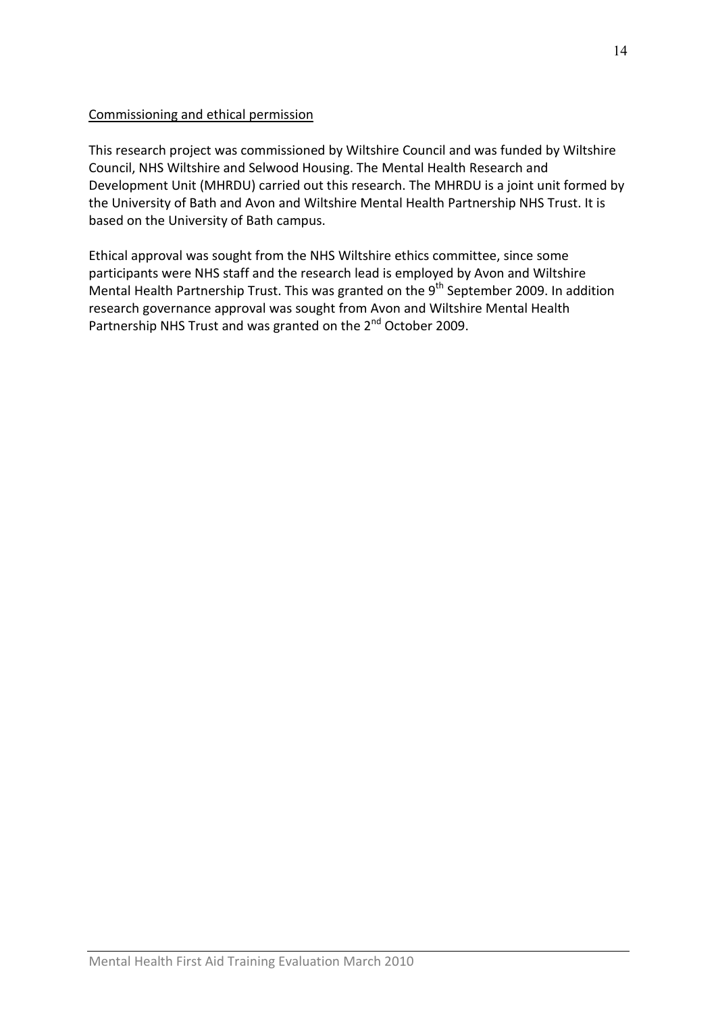## Commissioning and ethical permission

This research project was commissioned by Wiltshire Council and was funded by Wiltshire Council, NHS Wiltshire and Selwood Housing. The Mental Health Research and Development Unit (MHRDU) carried out this research. The MHRDU is a joint unit formed by the University of Bath and Avon and Wiltshire Mental Health Partnership NHS Trust. It is based on the University of Bath campus.

Ethical approval was sought from the NHS Wiltshire ethics committee, since some participants were NHS staff and the research lead is employed by Avon and Wiltshire Mental Health Partnership Trust. This was granted on the 9<sup>th</sup> September 2009. In addition research governance approval was sought from Avon and Wiltshire Mental Health Partnership NHS Trust and was granted on the 2<sup>nd</sup> October 2009.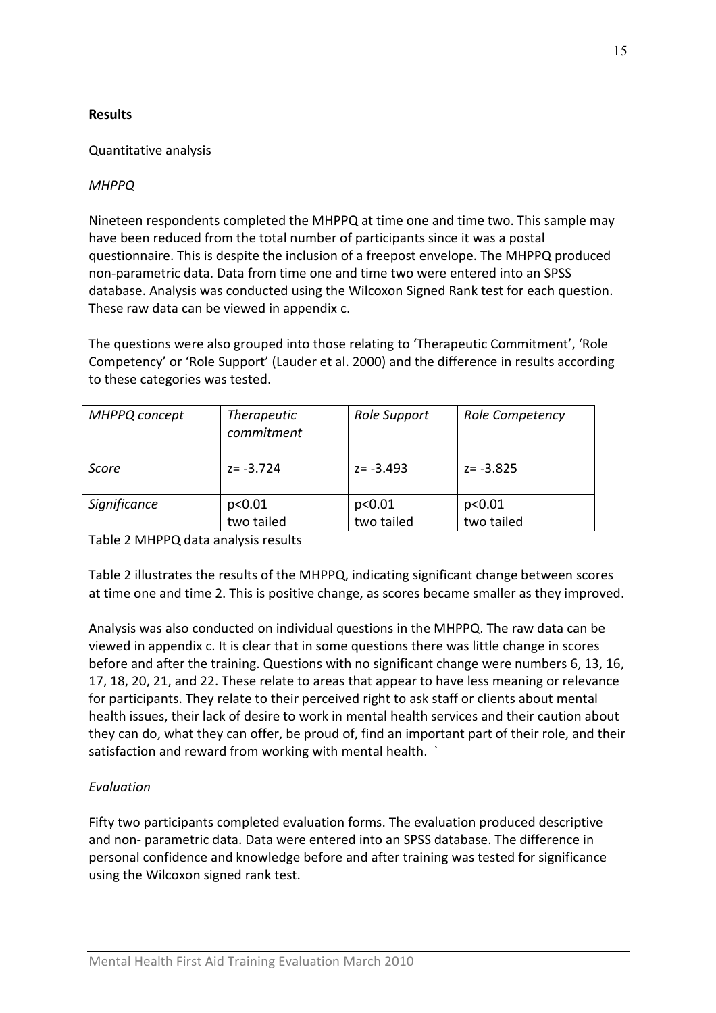## **Results**

## Quantitative analysis

## MHPPQ

Nineteen respondents completed the MHPPQ at time one and time two. This sample may have been reduced from the total number of participants since it was a postal questionnaire. This is despite the inclusion of a freepost envelope. The MHPPQ produced non-parametric data. Data from time one and time two were entered into an SPSS database. Analysis was conducted using the Wilcoxon Signed Rank test for each question. These raw data can be viewed in appendix c.

The questions were also grouped into those relating to 'Therapeutic Commitment', 'Role Competency' or 'Role Support' (Lauder et al. 2000) and the difference in results according to these categories was tested.

| MHPPQ concept | <b>Therapeutic</b><br>commitment | Role Support         | Role Competency      |
|---------------|----------------------------------|----------------------|----------------------|
| Score         | $z = -3.724$                     | $z = -3.493$         | $z = -3.825$         |
| Significance  | p<0.01<br>two tailed             | p<0.01<br>two tailed | p<0.01<br>two tailed |

Table 2 MHPPQ data analysis results

Table 2 illustrates the results of the MHPPQ, indicating significant change between scores at time one and time 2. This is positive change, as scores became smaller as they improved.

Analysis was also conducted on individual questions in the MHPPQ. The raw data can be viewed in appendix c. It is clear that in some questions there was little change in scores before and after the training. Questions with no significant change were numbers 6, 13, 16, 17, 18, 20, 21, and 22. These relate to areas that appear to have less meaning or relevance for participants. They relate to their perceived right to ask staff or clients about mental health issues, their lack of desire to work in mental health services and their caution about they can do, what they can offer, be proud of, find an important part of their role, and their satisfaction and reward from working with mental health. `

## Evaluation

Fifty two participants completed evaluation forms. The evaluation produced descriptive and non- parametric data. Data were entered into an SPSS database. The difference in personal confidence and knowledge before and after training was tested for significance using the Wilcoxon signed rank test.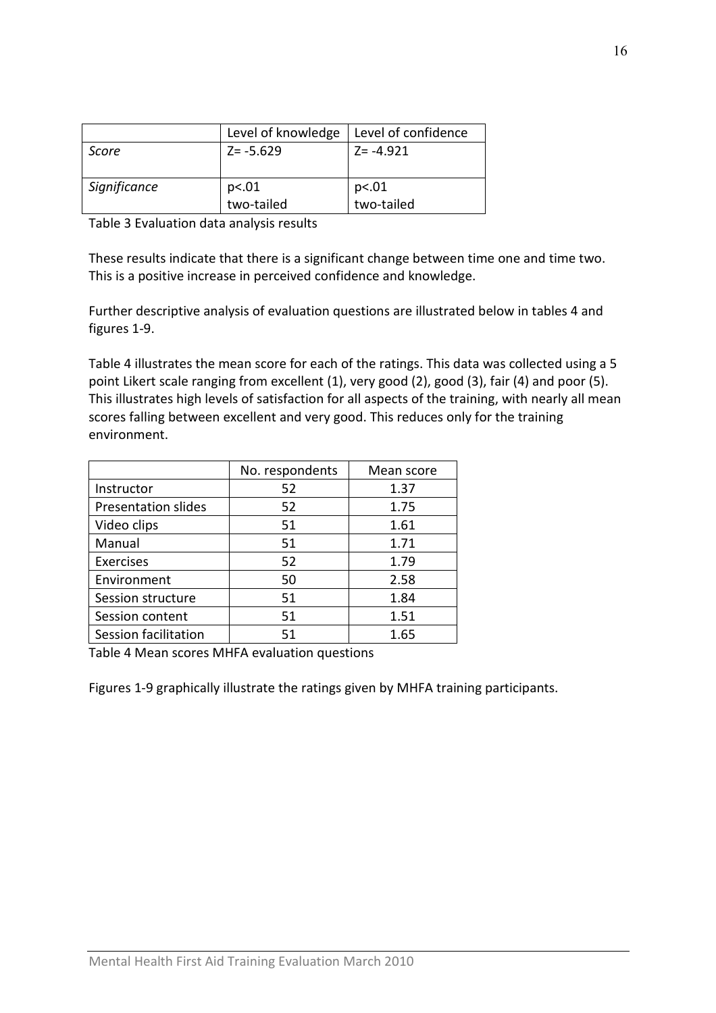|              | Level of knowledge  | Level of confidence |
|--------------|---------------------|---------------------|
| Score        | $Z = -5.629$        | $Z = -4.921$        |
| Significance | p<.01<br>two-tailed | p<.01<br>two-tailed |

Table 3 Evaluation data analysis results

These results indicate that there is a significant change between time one and time two. This is a positive increase in perceived confidence and knowledge.

Further descriptive analysis of evaluation questions are illustrated below in tables 4 and figures 1-9.

Table 4 illustrates the mean score for each of the ratings. This data was collected using a 5 point Likert scale ranging from excellent (1), very good (2), good (3), fair (4) and poor (5). This illustrates high levels of satisfaction for all aspects of the training, with nearly all mean scores falling between excellent and very good. This reduces only for the training environment.

|                            | No. respondents | Mean score |
|----------------------------|-----------------|------------|
| Instructor                 | 52              | 1.37       |
| <b>Presentation slides</b> | 52              | 1.75       |
| Video clips                | 51              | 1.61       |
| Manual                     | 51              | 1.71       |
| Exercises                  | 52              | 1.79       |
| Environment                | 50              | 2.58       |
| Session structure          | 51              | 1.84       |
| Session content            | 51              | 1.51       |
| Session facilitation       | 51              | 1.65       |

Table 4 Mean scores MHFA evaluation questions

Figures 1-9 graphically illustrate the ratings given by MHFA training participants.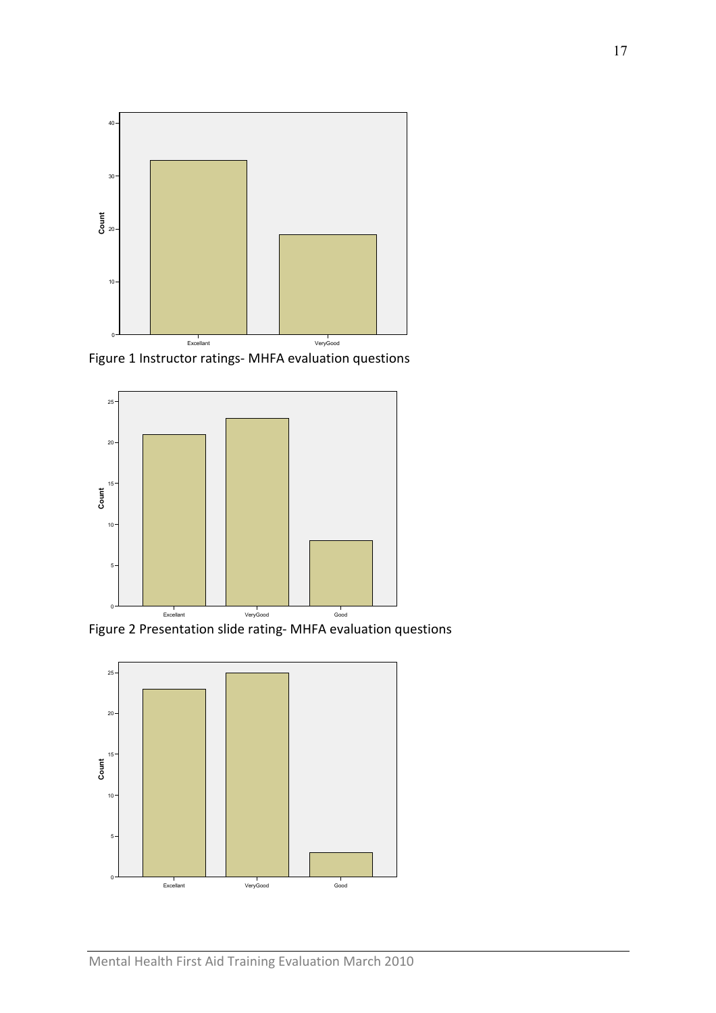

Figure 1 Instructor ratings- MHFA evaluation questions



Figure 2 Presentation slide rating- MHFA evaluation questions

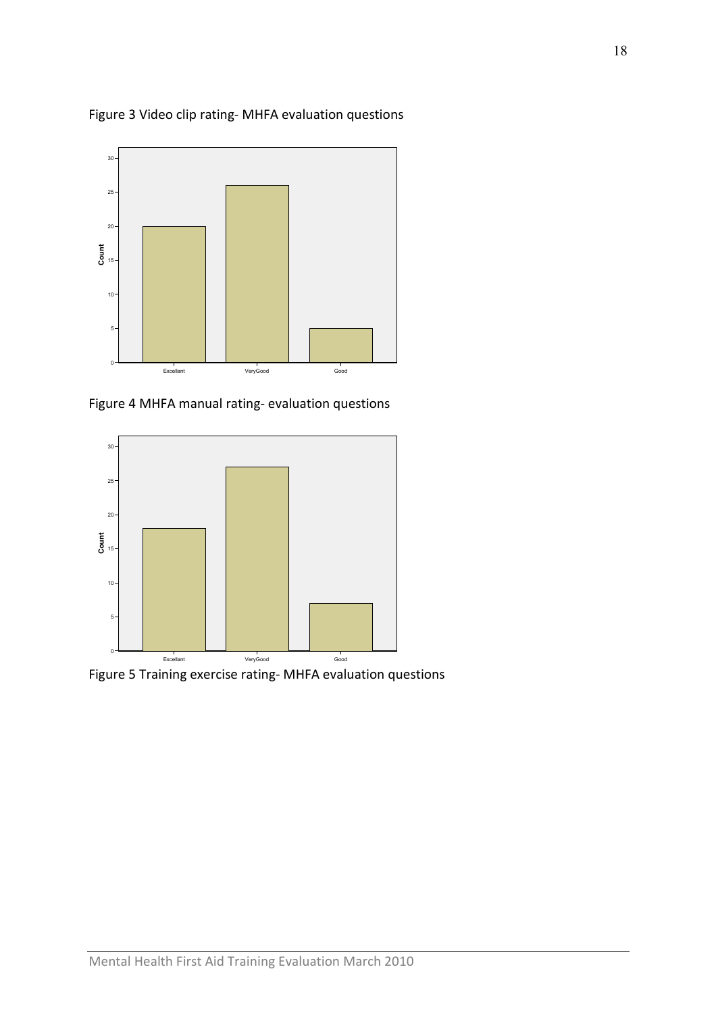

Figure 3 Video clip rating- MHFA evaluation questions

Figure 4 MHFA manual rating- evaluation questions



Figure 5 Training exercise rating- MHFA evaluation questions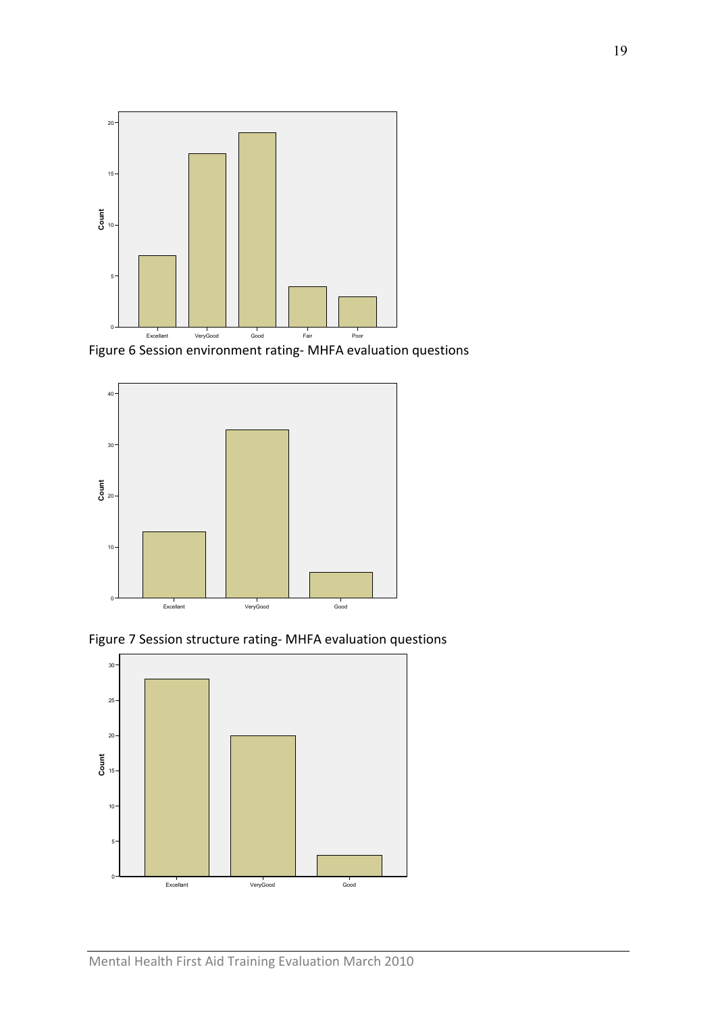

Figure 6 Session environment rating- MHFA evaluation questions



Figure 7 Session structure rating- MHFA evaluation questions

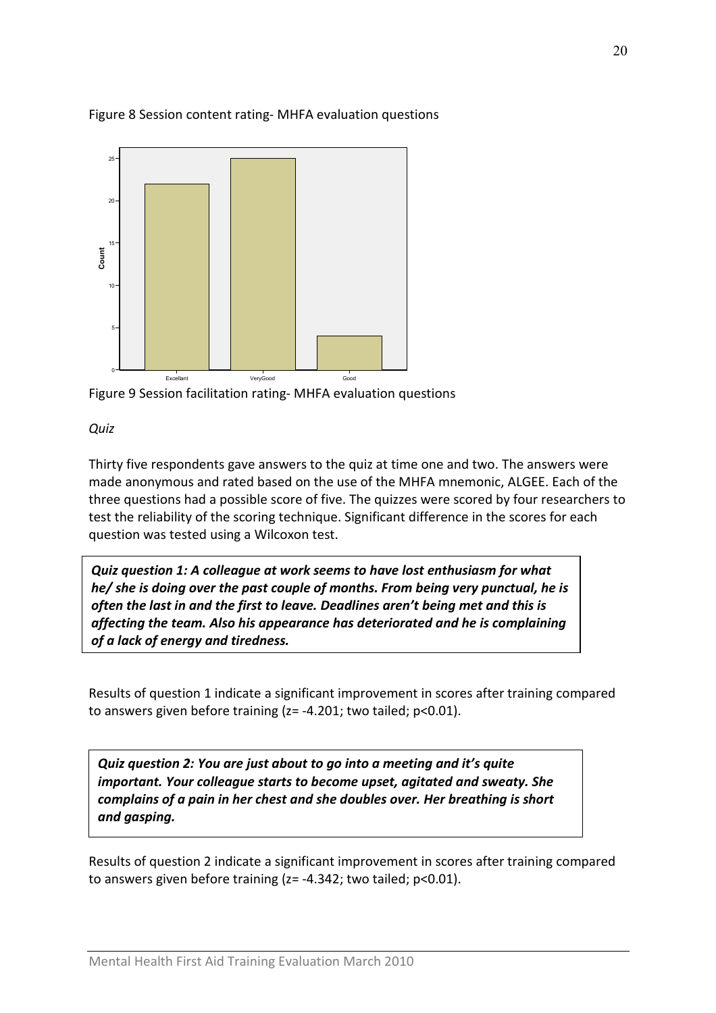

#### Figure 8 Session content rating- MHFA evaluation questions



**Quiz** 

Thirty five respondents gave answers to the quiz at time one and two. The answers were made anonymous and rated based on the use of the MHFA mnemonic, ALGEE. Each of the three questions had a possible score of five. The quizzes were scored by four researchers to test the reliability of the scoring technique. Significant difference in the scores for each question was tested using a Wilcoxon test.

Quiz question 1: A colleague at work seems to have lost enthusiasm for what he/ she is doing over the past couple of months. From being very punctual, he is often the last in and the first to leave. Deadlines aren't being met and this is affecting the team. Also his appearance has deteriorated and he is complaining of a lack of energy and tiredness.

Results of question 1 indicate a significant improvement in scores after training compared to answers given before training (z= -4.201; two tailed; p<0.01).

Quiz question 2: You are just about to go into a meeting and it's quite important. Your colleague starts to become upset, agitated and sweaty. She complains of a pain in her chest and she doubles over. Her breathing is short and gasping.

Results of question 2 indicate a significant improvement in scores after training compared to answers given before training (z= -4.342; two tailed; p<0.01).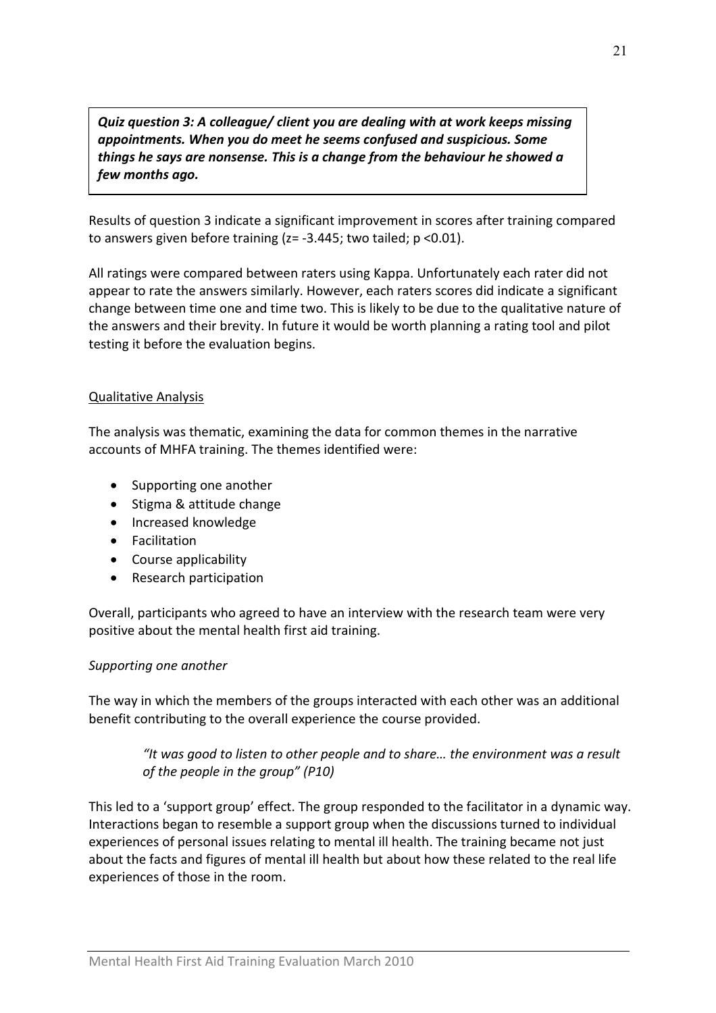Quiz question 3: A colleague/ client you are dealing with at work keeps missing appointments. When you do meet he seems confused and suspicious. Some things he says are nonsense. This is a change from the behaviour he showed a few months ago.

Results of question 3 indicate a significant improvement in scores after training compared to answers given before training  $(z = -3.445;$  two tailed;  $p < 0.01$ ).

All ratings were compared between raters using Kappa. Unfortunately each rater did not appear to rate the answers similarly. However, each raters scores did indicate a significant change between time one and time two. This is likely to be due to the qualitative nature of the answers and their brevity. In future it would be worth planning a rating tool and pilot testing it before the evaluation begins.

#### Qualitative Analysis

The analysis was thematic, examining the data for common themes in the narrative accounts of MHFA training. The themes identified were:

- Supporting one another
- Stigma & attitude change
- Increased knowledge
- Facilitation
- Course applicability
- Research participation

Overall, participants who agreed to have an interview with the research team were very positive about the mental health first aid training.

#### Supporting one another

The way in which the members of the groups interacted with each other was an additional benefit contributing to the overall experience the course provided.

## "It was good to listen to other people and to share… the environment was a result of the people in the group" (P10)

This led to a 'support group' effect. The group responded to the facilitator in a dynamic way. Interactions began to resemble a support group when the discussions turned to individual experiences of personal issues relating to mental ill health. The training became not just about the facts and figures of mental ill health but about how these related to the real life experiences of those in the room.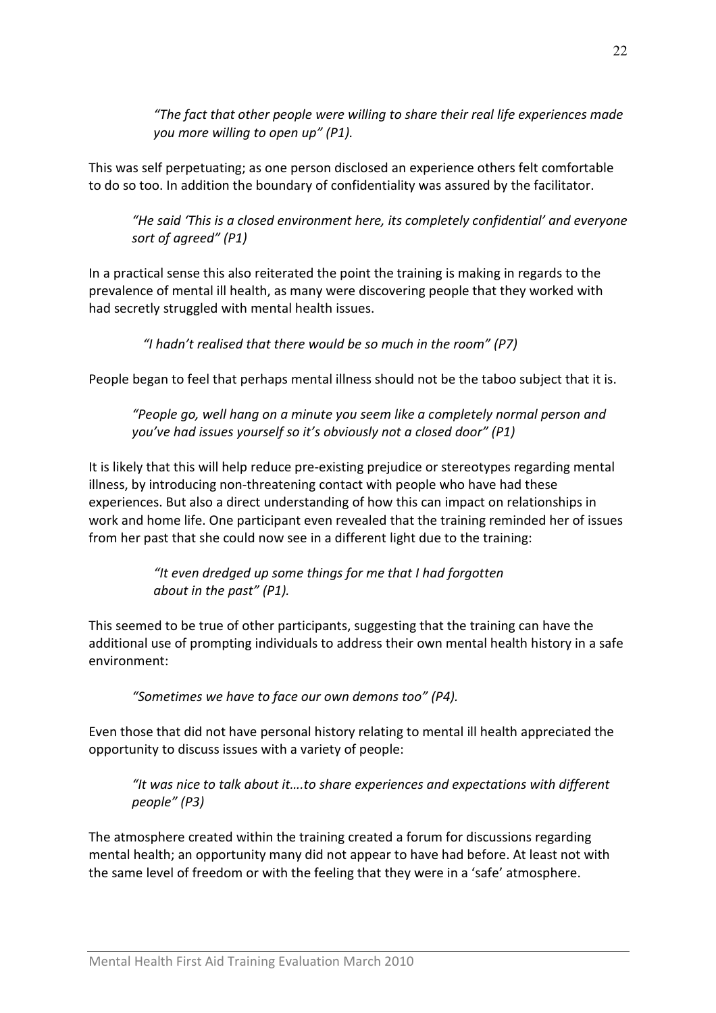"The fact that other people were willing to share their real life experiences made you more willing to open up" (P1).

This was self perpetuating; as one person disclosed an experience others felt comfortable to do so too. In addition the boundary of confidentiality was assured by the facilitator.

"He said 'This is a closed environment here, its completely confidential' and everyone sort of agreed" (P1)

In a practical sense this also reiterated the point the training is making in regards to the prevalence of mental ill health, as many were discovering people that they worked with had secretly struggled with mental health issues.

"I hadn't realised that there would be so much in the room" (P7)

People began to feel that perhaps mental illness should not be the taboo subject that it is.

"People go, well hang on a minute you seem like a completely normal person and you've had issues yourself so it's obviously not a closed door" (P1)

It is likely that this will help reduce pre-existing prejudice or stereotypes regarding mental illness, by introducing non-threatening contact with people who have had these experiences. But also a direct understanding of how this can impact on relationships in work and home life. One participant even revealed that the training reminded her of issues from her past that she could now see in a different light due to the training:

> "It even dredged up some things for me that I had forgotten about in the past" (P1).

This seemed to be true of other participants, suggesting that the training can have the additional use of prompting individuals to address their own mental health history in a safe environment:

"Sometimes we have to face our own demons too" (P4).

Even those that did not have personal history relating to mental ill health appreciated the opportunity to discuss issues with a variety of people:

"It was nice to talk about it….to share experiences and expectations with different people" (P3)

The atmosphere created within the training created a forum for discussions regarding mental health; an opportunity many did not appear to have had before. At least not with the same level of freedom or with the feeling that they were in a 'safe' atmosphere.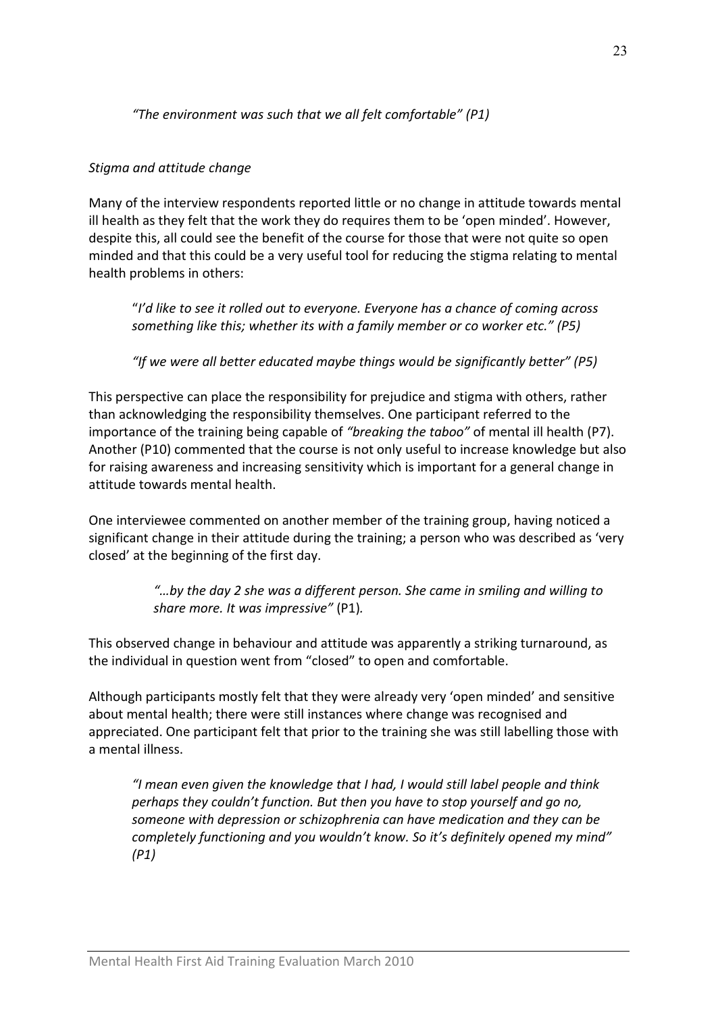## "The environment was such that we all felt comfortable" (P1)

#### Stigma and attitude change

Many of the interview respondents reported little or no change in attitude towards mental ill health as they felt that the work they do requires them to be 'open minded'. However, despite this, all could see the benefit of the course for those that were not quite so open minded and that this could be a very useful tool for reducing the stigma relating to mental health problems in others:

"I'd like to see it rolled out to everyone. Everyone has a chance of coming across something like this; whether its with a family member or co worker etc." (P5)

"If we were all better educated maybe things would be significantly better" (P5)

This perspective can place the responsibility for prejudice and stigma with others, rather than acknowledging the responsibility themselves. One participant referred to the importance of the training being capable of "breaking the taboo" of mental ill health (P7). Another (P10) commented that the course is not only useful to increase knowledge but also for raising awareness and increasing sensitivity which is important for a general change in attitude towards mental health.

One interviewee commented on another member of the training group, having noticed a significant change in their attitude during the training; a person who was described as 'very closed' at the beginning of the first day.

> "…by the day 2 she was a different person. She came in smiling and willing to share more. It was impressive" (P1).

This observed change in behaviour and attitude was apparently a striking turnaround, as the individual in question went from "closed" to open and comfortable.

Although participants mostly felt that they were already very 'open minded' and sensitive about mental health; there were still instances where change was recognised and appreciated. One participant felt that prior to the training she was still labelling those with a mental illness.

"I mean even given the knowledge that I had, I would still label people and think perhaps they couldn't function. But then you have to stop yourself and go no, someone with depression or schizophrenia can have medication and they can be completely functioning and you wouldn't know. So it's definitely opened my mind" (P1)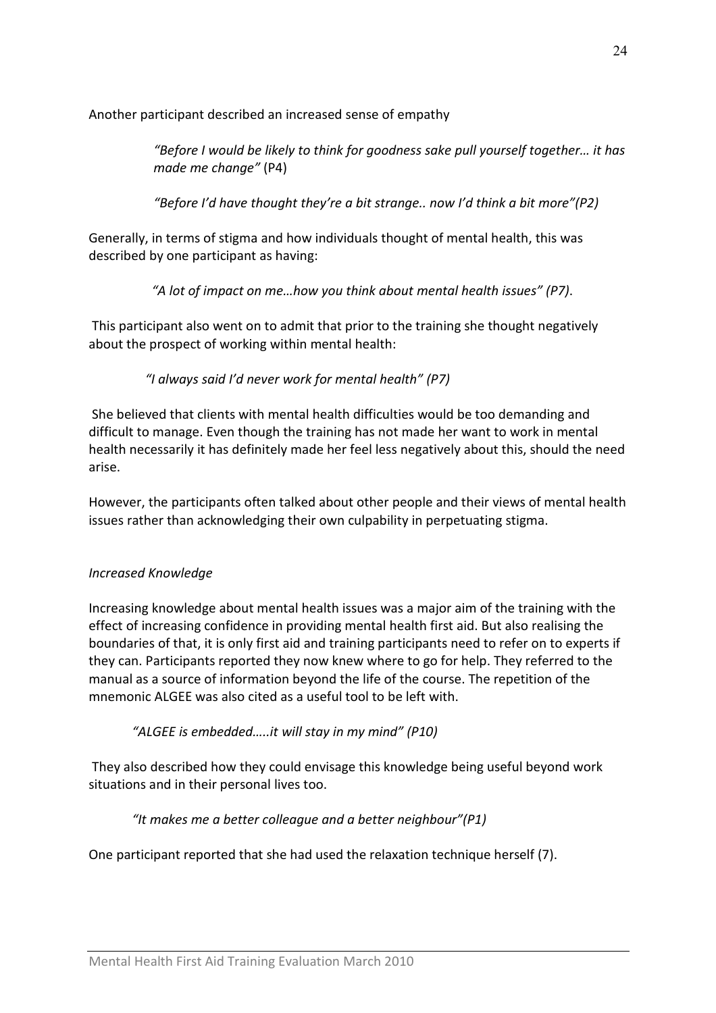Another participant described an increased sense of empathy

"Before I would be likely to think for goodness sake pull yourself together… it has made me change" (P4)

"Before I'd have thought they're a bit strange.. now I'd think a bit more"(P2)

Generally, in terms of stigma and how individuals thought of mental health, this was described by one participant as having:

"A lot of impact on me…how you think about mental health issues" (P7).

 This participant also went on to admit that prior to the training she thought negatively about the prospect of working within mental health:

"I always said I'd never work for mental health" (P7)

 She believed that clients with mental health difficulties would be too demanding and difficult to manage. Even though the training has not made her want to work in mental health necessarily it has definitely made her feel less negatively about this, should the need arise.

However, the participants often talked about other people and their views of mental health issues rather than acknowledging their own culpability in perpetuating stigma.

## Increased Knowledge

Increasing knowledge about mental health issues was a major aim of the training with the effect of increasing confidence in providing mental health first aid. But also realising the boundaries of that, it is only first aid and training participants need to refer on to experts if they can. Participants reported they now knew where to go for help. They referred to the manual as a source of information beyond the life of the course. The repetition of the mnemonic ALGEE was also cited as a useful tool to be left with.

"ALGEE is embedded…..it will stay in my mind" (P10)

 They also described how they could envisage this knowledge being useful beyond work situations and in their personal lives too.

## "It makes me a better colleague and a better neighbour"(P1)

One participant reported that she had used the relaxation technique herself (7).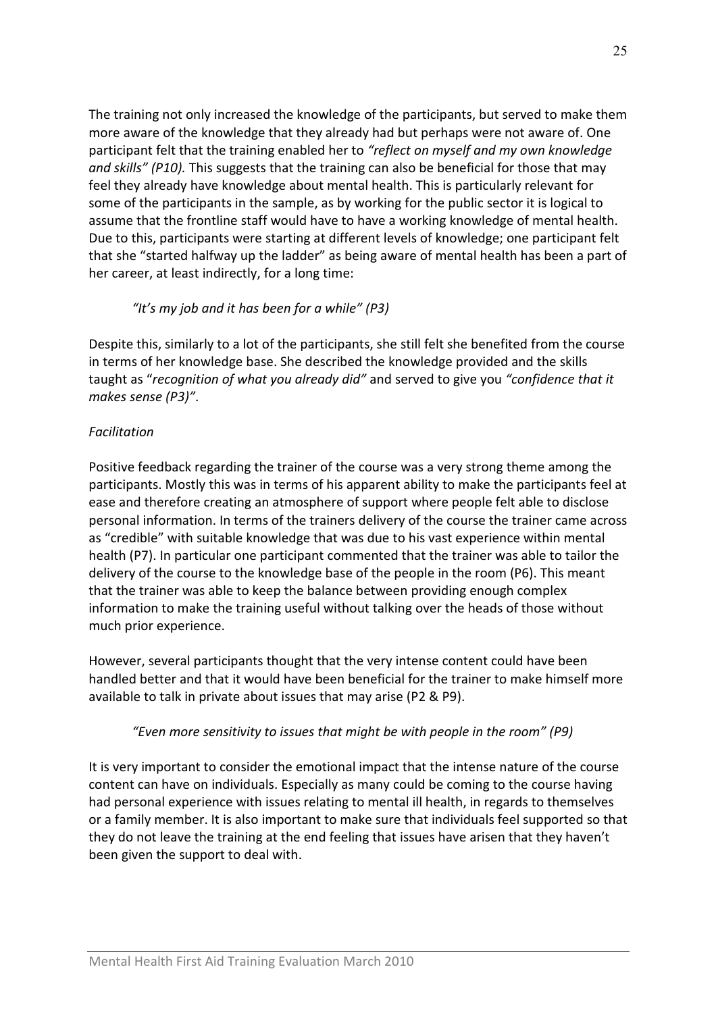The training not only increased the knowledge of the participants, but served to make them more aware of the knowledge that they already had but perhaps were not aware of. One participant felt that the training enabled her to "reflect on myself and my own knowledge and skills" (P10). This suggests that the training can also be beneficial for those that may feel they already have knowledge about mental health. This is particularly relevant for some of the participants in the sample, as by working for the public sector it is logical to assume that the frontline staff would have to have a working knowledge of mental health. Due to this, participants were starting at different levels of knowledge; one participant felt that she "started halfway up the ladder" as being aware of mental health has been a part of her career, at least indirectly, for a long time:

## "It's my job and it has been for a while" (P3)

Despite this, similarly to a lot of the participants, she still felt she benefited from the course in terms of her knowledge base. She described the knowledge provided and the skills taught as "recognition of what you already did" and served to give you "confidence that it makes sense (P3)".

## Facilitation

Positive feedback regarding the trainer of the course was a very strong theme among the participants. Mostly this was in terms of his apparent ability to make the participants feel at ease and therefore creating an atmosphere of support where people felt able to disclose personal information. In terms of the trainers delivery of the course the trainer came across as "credible" with suitable knowledge that was due to his vast experience within mental health (P7). In particular one participant commented that the trainer was able to tailor the delivery of the course to the knowledge base of the people in the room (P6). This meant that the trainer was able to keep the balance between providing enough complex information to make the training useful without talking over the heads of those without much prior experience.

However, several participants thought that the very intense content could have been handled better and that it would have been beneficial for the trainer to make himself more available to talk in private about issues that may arise (P2 & P9).

## "Even more sensitivity to issues that might be with people in the room" (P9)

It is very important to consider the emotional impact that the intense nature of the course content can have on individuals. Especially as many could be coming to the course having had personal experience with issues relating to mental ill health, in regards to themselves or a family member. It is also important to make sure that individuals feel supported so that they do not leave the training at the end feeling that issues have arisen that they haven't been given the support to deal with.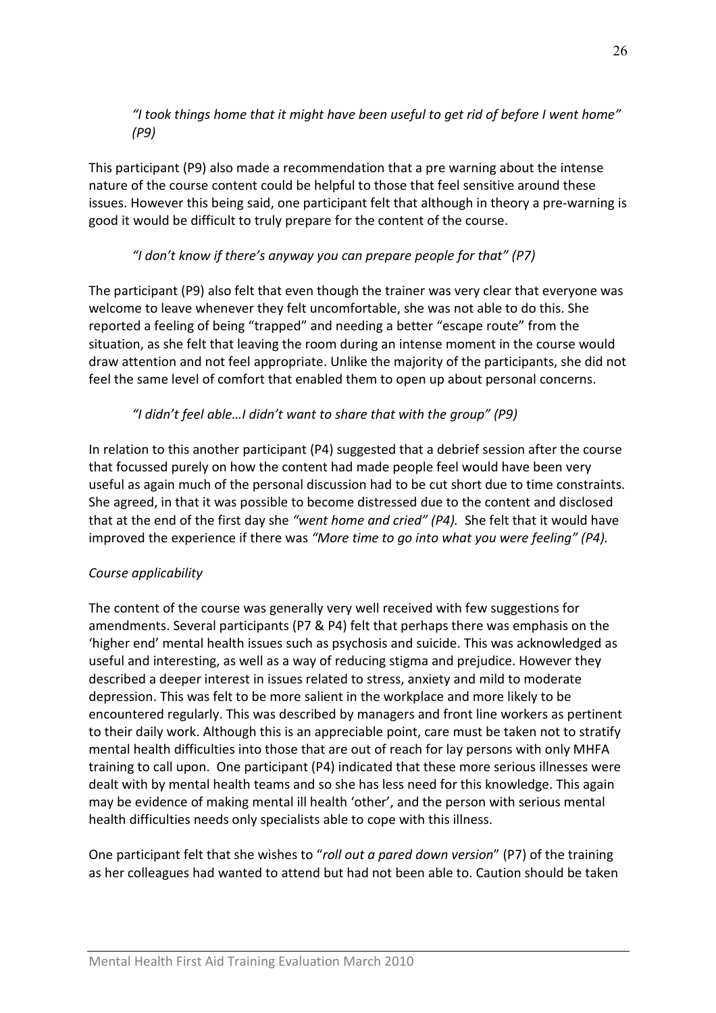"I took things home that it might have been useful to get rid of before I went home" (P9)

This participant (P9) also made a recommendation that a pre warning about the intense nature of the course content could be helpful to those that feel sensitive around these issues. However this being said, one participant felt that although in theory a pre-warning is good it would be difficult to truly prepare for the content of the course.

## "I don't know if there's anyway you can prepare people for that" (P7)

The participant (P9) also felt that even though the trainer was very clear that everyone was welcome to leave whenever they felt uncomfortable, she was not able to do this. She reported a feeling of being "trapped" and needing a better "escape route" from the situation, as she felt that leaving the room during an intense moment in the course would draw attention and not feel appropriate. Unlike the majority of the participants, she did not feel the same level of comfort that enabled them to open up about personal concerns.

## "I didn't feel able…I didn't want to share that with the group" (P9)

In relation to this another participant (P4) suggested that a debrief session after the course that focussed purely on how the content had made people feel would have been very useful as again much of the personal discussion had to be cut short due to time constraints. She agreed, in that it was possible to become distressed due to the content and disclosed that at the end of the first day she "went home and cried"  $(P4)$ . She felt that it would have improved the experience if there was "More time to go into what you were feeling" (P4).

## Course applicability

The content of the course was generally very well received with few suggestions for amendments. Several participants (P7 & P4) felt that perhaps there was emphasis on the 'higher end' mental health issues such as psychosis and suicide. This was acknowledged as useful and interesting, as well as a way of reducing stigma and prejudice. However they described a deeper interest in issues related to stress, anxiety and mild to moderate depression. This was felt to be more salient in the workplace and more likely to be encountered regularly. This was described by managers and front line workers as pertinent to their daily work. Although this is an appreciable point, care must be taken not to stratify mental health difficulties into those that are out of reach for lay persons with only MHFA training to call upon. One participant (P4) indicated that these more serious illnesses were dealt with by mental health teams and so she has less need for this knowledge. This again may be evidence of making mental ill health 'other', and the person with serious mental health difficulties needs only specialists able to cope with this illness.

One participant felt that she wishes to "roll out a pared down version" (P7) of the training as her colleagues had wanted to attend but had not been able to. Caution should be taken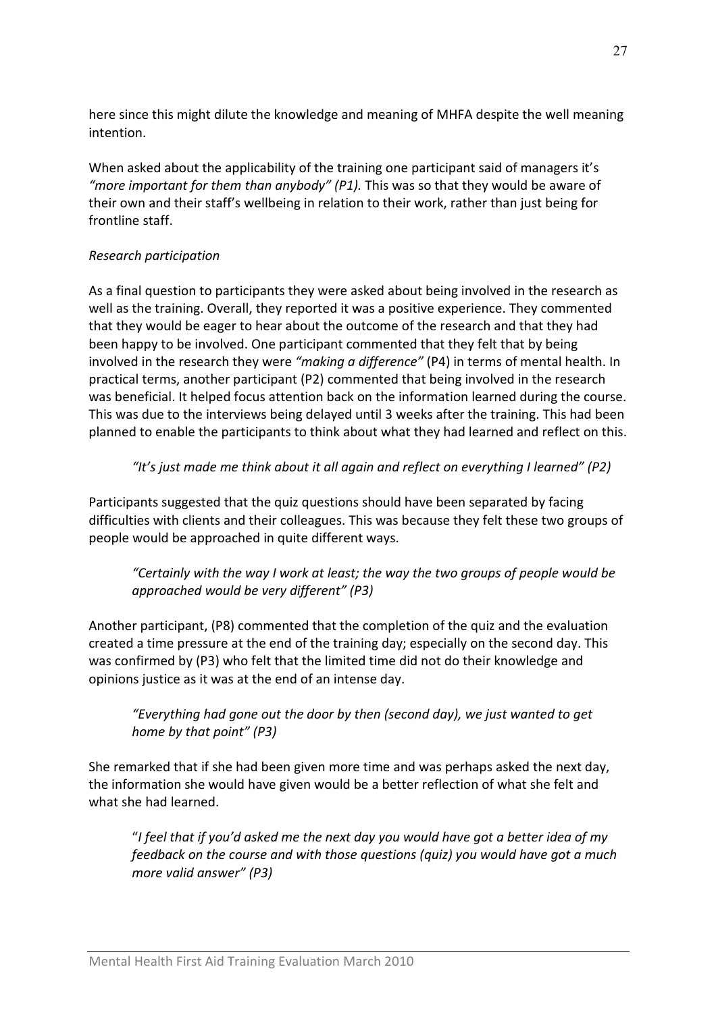here since this might dilute the knowledge and meaning of MHFA despite the well meaning intention.

When asked about the applicability of the training one participant said of managers it's "more important for them than anybody"  $(P1)$ . This was so that they would be aware of their own and their staff's wellbeing in relation to their work, rather than just being for frontline staff.

## Research participation

As a final question to participants they were asked about being involved in the research as well as the training. Overall, they reported it was a positive experience. They commented that they would be eager to hear about the outcome of the research and that they had been happy to be involved. One participant commented that they felt that by being involved in the research they were "making a difference" (P4) in terms of mental health. In practical terms, another participant (P2) commented that being involved in the research was beneficial. It helped focus attention back on the information learned during the course. This was due to the interviews being delayed until 3 weeks after the training. This had been planned to enable the participants to think about what they had learned and reflect on this.

## "It's just made me think about it all again and reflect on everything I learned" (P2)

Participants suggested that the quiz questions should have been separated by facing difficulties with clients and their colleagues. This was because they felt these two groups of people would be approached in quite different ways.

"Certainly with the way I work at least; the way the two groups of people would be approached would be very different" (P3)

Another participant, (P8) commented that the completion of the quiz and the evaluation created a time pressure at the end of the training day; especially on the second day. This was confirmed by (P3) who felt that the limited time did not do their knowledge and opinions justice as it was at the end of an intense day.

"Everything had gone out the door by then (second day), we just wanted to get home by that point" (P3)

She remarked that if she had been given more time and was perhaps asked the next day, the information she would have given would be a better reflection of what she felt and what she had learned.

"I feel that if you'd asked me the next day you would have got a better idea of my feedback on the course and with those questions (quiz) you would have got a much more valid answer" (P3)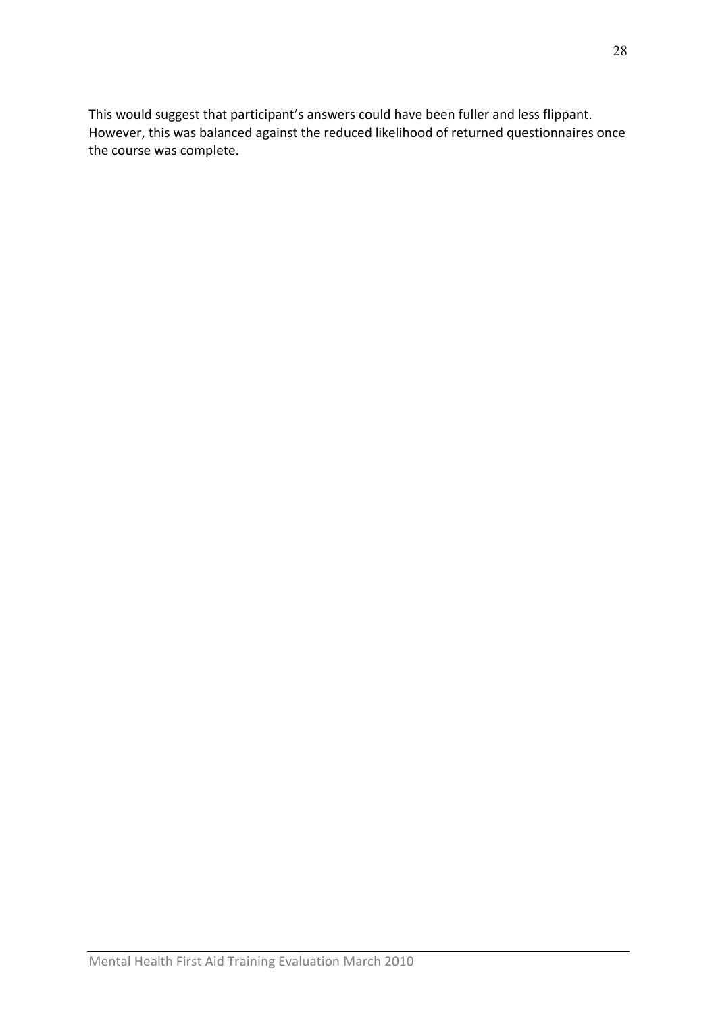This would suggest that participant's answers could have been fuller and less flippant. However, this was balanced against the reduced likelihood of returned questionnaires once the course was complete.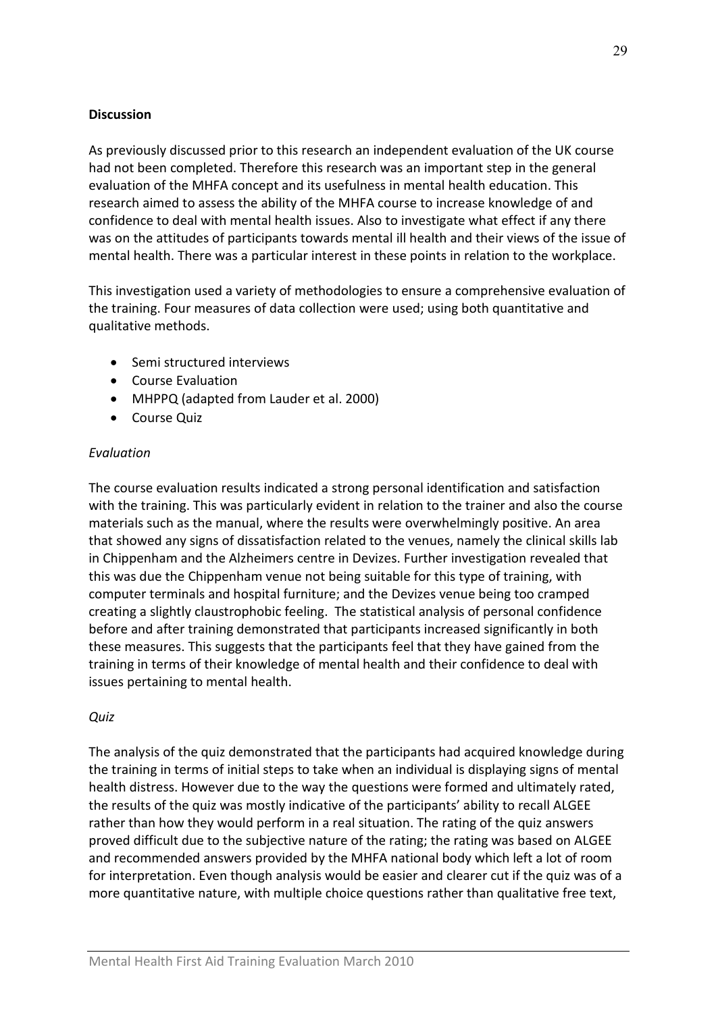#### **Discussion**

As previously discussed prior to this research an independent evaluation of the UK course had not been completed. Therefore this research was an important step in the general evaluation of the MHFA concept and its usefulness in mental health education. This research aimed to assess the ability of the MHFA course to increase knowledge of and confidence to deal with mental health issues. Also to investigate what effect if any there was on the attitudes of participants towards mental ill health and their views of the issue of mental health. There was a particular interest in these points in relation to the workplace.

This investigation used a variety of methodologies to ensure a comprehensive evaluation of the training. Four measures of data collection were used; using both quantitative and qualitative methods.

- Semi structured interviews
- Course Evaluation
- MHPPQ (adapted from Lauder et al. 2000)
- Course Quiz

## Evaluation

The course evaluation results indicated a strong personal identification and satisfaction with the training. This was particularly evident in relation to the trainer and also the course materials such as the manual, where the results were overwhelmingly positive. An area that showed any signs of dissatisfaction related to the venues, namely the clinical skills lab in Chippenham and the Alzheimers centre in Devizes. Further investigation revealed that this was due the Chippenham venue not being suitable for this type of training, with computer terminals and hospital furniture; and the Devizes venue being too cramped creating a slightly claustrophobic feeling. The statistical analysis of personal confidence before and after training demonstrated that participants increased significantly in both these measures. This suggests that the participants feel that they have gained from the training in terms of their knowledge of mental health and their confidence to deal with issues pertaining to mental health.

## **Quiz**

The analysis of the quiz demonstrated that the participants had acquired knowledge during the training in terms of initial steps to take when an individual is displaying signs of mental health distress. However due to the way the questions were formed and ultimately rated, the results of the quiz was mostly indicative of the participants' ability to recall ALGEE rather than how they would perform in a real situation. The rating of the quiz answers proved difficult due to the subjective nature of the rating; the rating was based on ALGEE and recommended answers provided by the MHFA national body which left a lot of room for interpretation. Even though analysis would be easier and clearer cut if the quiz was of a more quantitative nature, with multiple choice questions rather than qualitative free text,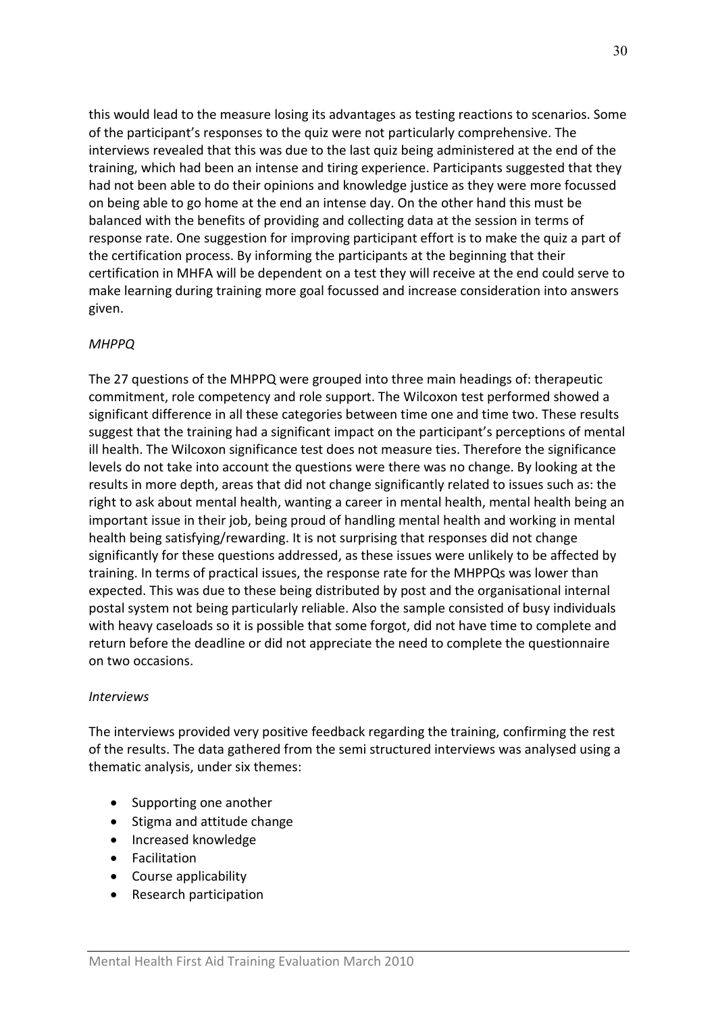this would lead to the measure losing its advantages as testing reactions to scenarios. Some of the participant's responses to the quiz were not particularly comprehensive. The interviews revealed that this was due to the last quiz being administered at the end of the training, which had been an intense and tiring experience. Participants suggested that they had not been able to do their opinions and knowledge justice as they were more focussed on being able to go home at the end an intense day. On the other hand this must be balanced with the benefits of providing and collecting data at the session in terms of response rate. One suggestion for improving participant effort is to make the quiz a part of the certification process. By informing the participants at the beginning that their certification in MHFA will be dependent on a test they will receive at the end could serve to make learning during training more goal focussed and increase consideration into answers given.

## MHPPQ

The 27 questions of the MHPPQ were grouped into three main headings of: therapeutic commitment, role competency and role support. The Wilcoxon test performed showed a significant difference in all these categories between time one and time two. These results suggest that the training had a significant impact on the participant's perceptions of mental ill health. The Wilcoxon significance test does not measure ties. Therefore the significance levels do not take into account the questions were there was no change. By looking at the results in more depth, areas that did not change significantly related to issues such as: the right to ask about mental health, wanting a career in mental health, mental health being an important issue in their job, being proud of handling mental health and working in mental health being satisfying/rewarding. It is not surprising that responses did not change significantly for these questions addressed, as these issues were unlikely to be affected by training. In terms of practical issues, the response rate for the MHPPQs was lower than expected. This was due to these being distributed by post and the organisational internal postal system not being particularly reliable. Also the sample consisted of busy individuals with heavy caseloads so it is possible that some forgot, did not have time to complete and return before the deadline or did not appreciate the need to complete the questionnaire on two occasions.

## Interviews

The interviews provided very positive feedback regarding the training, confirming the rest of the results. The data gathered from the semi structured interviews was analysed using a thematic analysis, under six themes:

- Supporting one another
- Stigma and attitude change
- Increased knowledge
- Facilitation
- Course applicability
- Research participation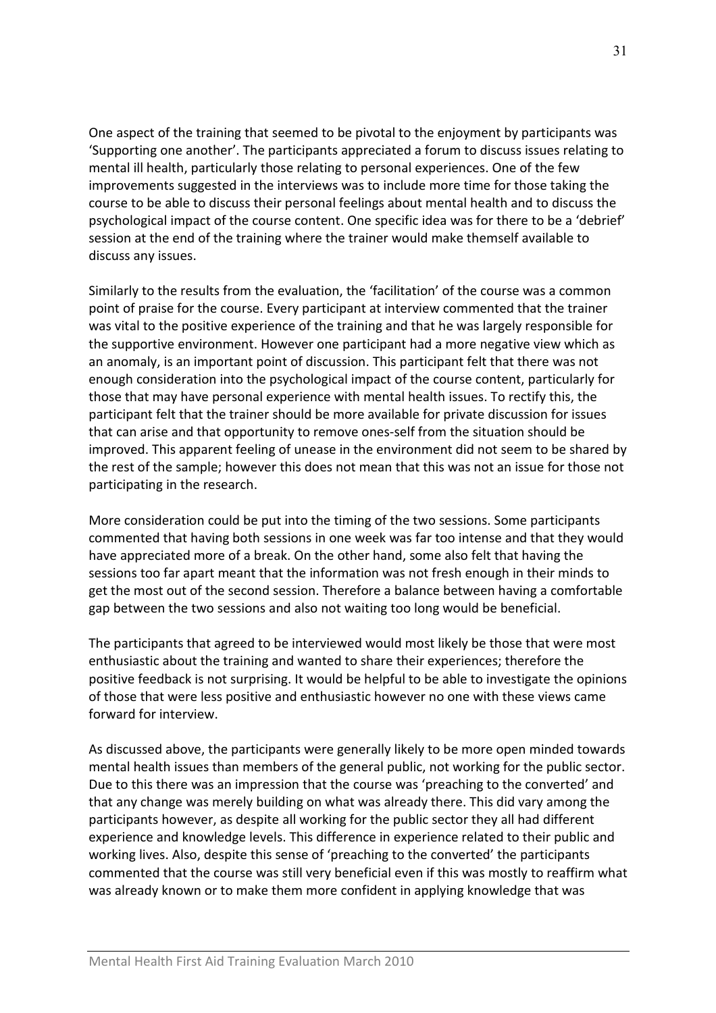One aspect of the training that seemed to be pivotal to the enjoyment by participants was 'Supporting one another'. The participants appreciated a forum to discuss issues relating to mental ill health, particularly those relating to personal experiences. One of the few improvements suggested in the interviews was to include more time for those taking the course to be able to discuss their personal feelings about mental health and to discuss the psychological impact of the course content. One specific idea was for there to be a 'debrief' session at the end of the training where the trainer would make themself available to discuss any issues.

Similarly to the results from the evaluation, the 'facilitation' of the course was a common point of praise for the course. Every participant at interview commented that the trainer was vital to the positive experience of the training and that he was largely responsible for the supportive environment. However one participant had a more negative view which as an anomaly, is an important point of discussion. This participant felt that there was not enough consideration into the psychological impact of the course content, particularly for those that may have personal experience with mental health issues. To rectify this, the participant felt that the trainer should be more available for private discussion for issues that can arise and that opportunity to remove ones-self from the situation should be improved. This apparent feeling of unease in the environment did not seem to be shared by the rest of the sample; however this does not mean that this was not an issue for those not participating in the research.

More consideration could be put into the timing of the two sessions. Some participants commented that having both sessions in one week was far too intense and that they would have appreciated more of a break. On the other hand, some also felt that having the sessions too far apart meant that the information was not fresh enough in their minds to get the most out of the second session. Therefore a balance between having a comfortable gap between the two sessions and also not waiting too long would be beneficial.

The participants that agreed to be interviewed would most likely be those that were most enthusiastic about the training and wanted to share their experiences; therefore the positive feedback is not surprising. It would be helpful to be able to investigate the opinions of those that were less positive and enthusiastic however no one with these views came forward for interview.

As discussed above, the participants were generally likely to be more open minded towards mental health issues than members of the general public, not working for the public sector. Due to this there was an impression that the course was 'preaching to the converted' and that any change was merely building on what was already there. This did vary among the participants however, as despite all working for the public sector they all had different experience and knowledge levels. This difference in experience related to their public and working lives. Also, despite this sense of 'preaching to the converted' the participants commented that the course was still very beneficial even if this was mostly to reaffirm what was already known or to make them more confident in applying knowledge that was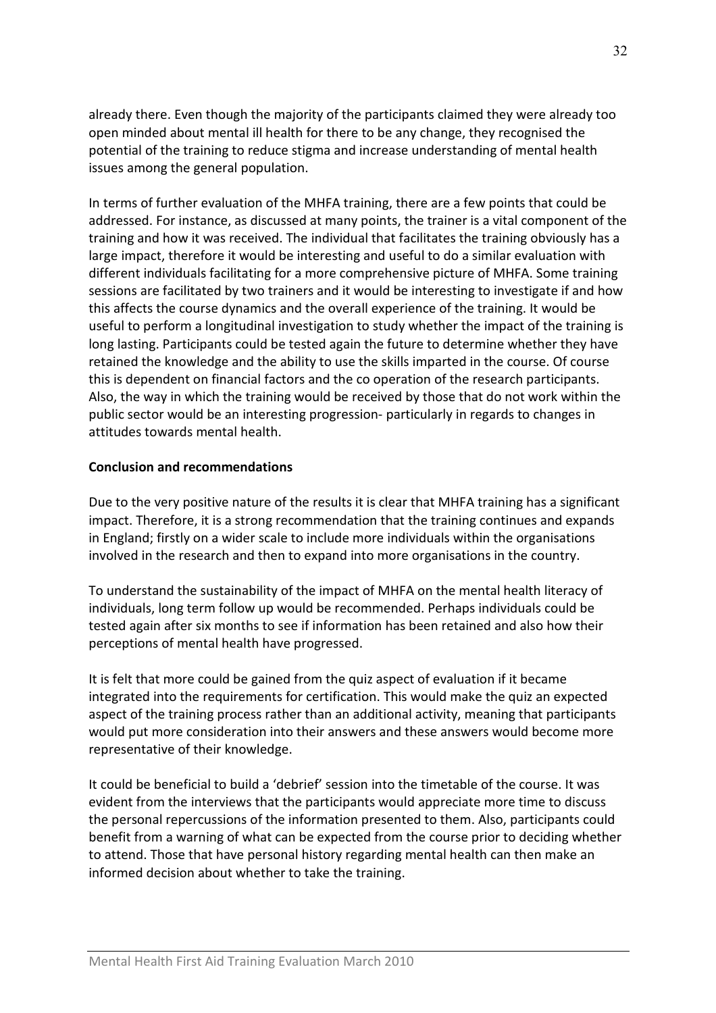already there. Even though the majority of the participants claimed they were already too open minded about mental ill health for there to be any change, they recognised the potential of the training to reduce stigma and increase understanding of mental health issues among the general population.

In terms of further evaluation of the MHFA training, there are a few points that could be addressed. For instance, as discussed at many points, the trainer is a vital component of the training and how it was received. The individual that facilitates the training obviously has a large impact, therefore it would be interesting and useful to do a similar evaluation with different individuals facilitating for a more comprehensive picture of MHFA. Some training sessions are facilitated by two trainers and it would be interesting to investigate if and how this affects the course dynamics and the overall experience of the training. It would be useful to perform a longitudinal investigation to study whether the impact of the training is long lasting. Participants could be tested again the future to determine whether they have retained the knowledge and the ability to use the skills imparted in the course. Of course this is dependent on financial factors and the co operation of the research participants. Also, the way in which the training would be received by those that do not work within the public sector would be an interesting progression- particularly in regards to changes in attitudes towards mental health.

#### Conclusion and recommendations

Due to the very positive nature of the results it is clear that MHFA training has a significant impact. Therefore, it is a strong recommendation that the training continues and expands in England; firstly on a wider scale to include more individuals within the organisations involved in the research and then to expand into more organisations in the country.

To understand the sustainability of the impact of MHFA on the mental health literacy of individuals, long term follow up would be recommended. Perhaps individuals could be tested again after six months to see if information has been retained and also how their perceptions of mental health have progressed.

It is felt that more could be gained from the quiz aspect of evaluation if it became integrated into the requirements for certification. This would make the quiz an expected aspect of the training process rather than an additional activity, meaning that participants would put more consideration into their answers and these answers would become more representative of their knowledge.

It could be beneficial to build a 'debrief' session into the timetable of the course. It was evident from the interviews that the participants would appreciate more time to discuss the personal repercussions of the information presented to them. Also, participants could benefit from a warning of what can be expected from the course prior to deciding whether to attend. Those that have personal history regarding mental health can then make an informed decision about whether to take the training.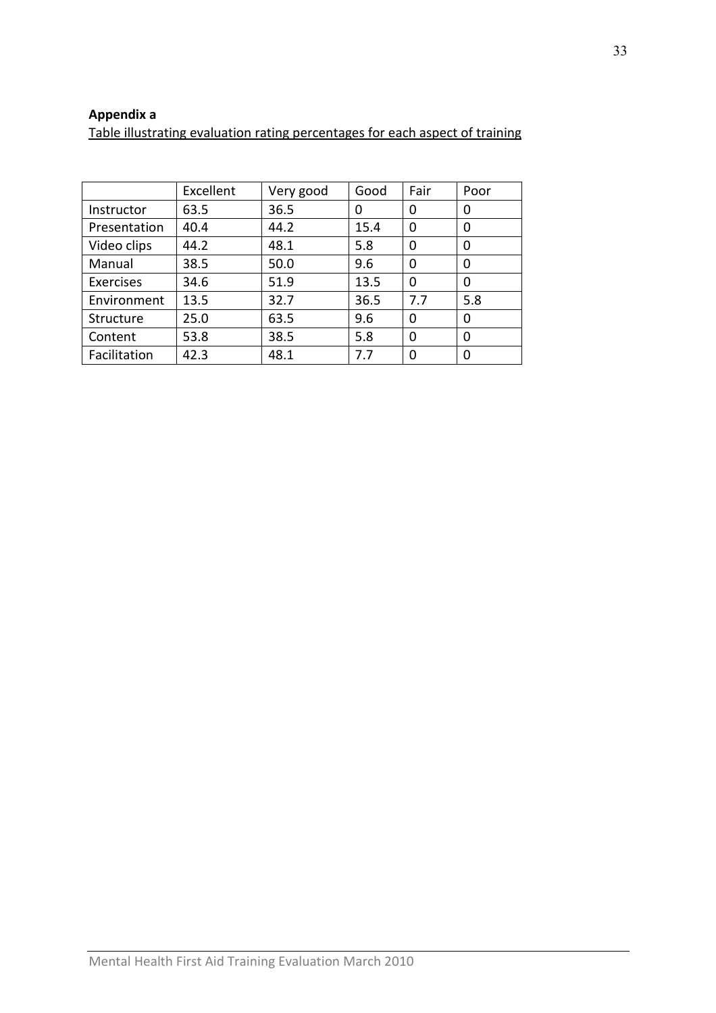## Appendix a

Table illustrating evaluation rating percentages for each aspect of training

|              | Excellent | Very good | Good | Fair | Poor |
|--------------|-----------|-----------|------|------|------|
| Instructor   | 63.5      | 36.5      | 0    | 0    | 0    |
| Presentation | 40.4      | 44.2      | 15.4 | 0    | 0    |
| Video clips  | 44.2      | 48.1      | 5.8  | 0    | 0    |
| Manual       | 38.5      | 50.0      | 9.6  | 0    | 0    |
| Exercises    | 34.6      | 51.9      | 13.5 | 0    | 0    |
| Environment  | 13.5      | 32.7      | 36.5 | 7.7  | 5.8  |
| Structure    | 25.0      | 63.5      | 9.6  | 0    | 0    |
| Content      | 53.8      | 38.5      | 5.8  | 0    | 0    |
| Facilitation | 42.3      | 48.1      | 7.7  | ∩    | 0    |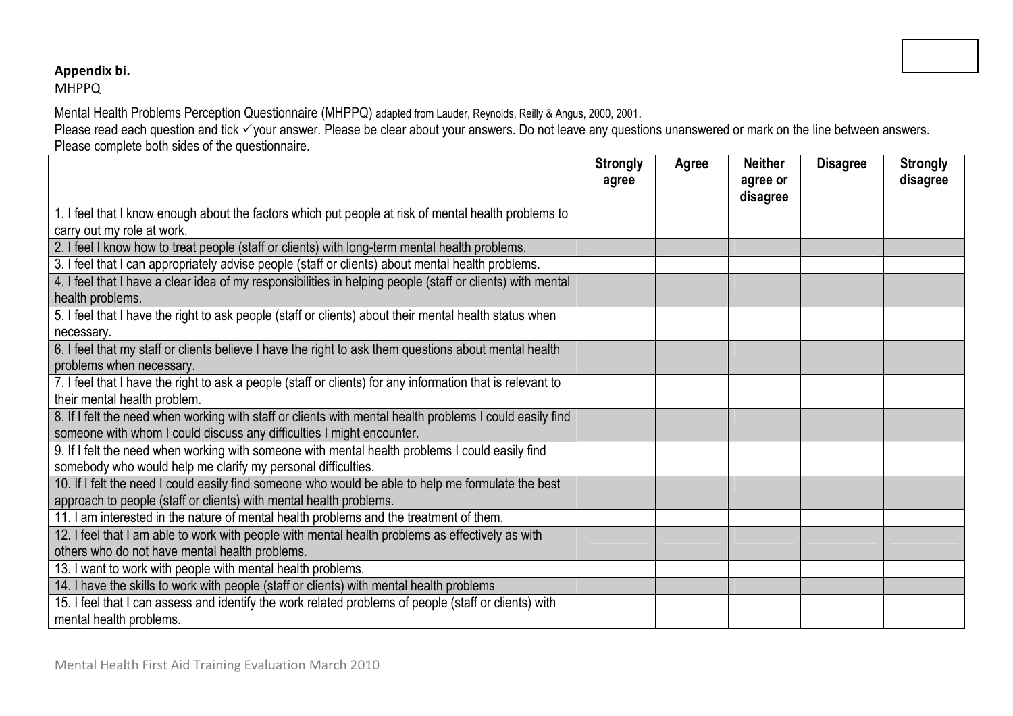## Appendix bi.

## MHPPQ

Mental Health Problems Perception Questionnaire (MHPPQ) adapted from Lauder, Reynolds, Reilly & Angus, 2000, 2001.<br>Please read each question and tick ✓your answer. Please be clear about your answers. Do not leave any ques Please complete both sides of the questionnaire.

|                                                                                                            | <b>Strongly</b><br>agree | Agree | <b>Neither</b><br>agree or | <b>Disagree</b> | <b>Strongly</b><br>disagree |
|------------------------------------------------------------------------------------------------------------|--------------------------|-------|----------------------------|-----------------|-----------------------------|
|                                                                                                            |                          |       | disagree                   |                 |                             |
| 1. I feel that I know enough about the factors which put people at risk of mental health problems to       |                          |       |                            |                 |                             |
| carry out my role at work.                                                                                 |                          |       |                            |                 |                             |
| 2. I feel I know how to treat people (staff or clients) with long-term mental health problems.             |                          |       |                            |                 |                             |
| 3. I feel that I can appropriately advise people (staff or clients) about mental health problems.          |                          |       |                            |                 |                             |
| 4. I feel that I have a clear idea of my responsibilities in helping people (staff or clients) with mental |                          |       |                            |                 |                             |
| health problems.                                                                                           |                          |       |                            |                 |                             |
| 5. I feel that I have the right to ask people (staff or clients) about their mental health status when     |                          |       |                            |                 |                             |
| necessary.                                                                                                 |                          |       |                            |                 |                             |
| 6. I feel that my staff or clients believe I have the right to ask them questions about mental health      |                          |       |                            |                 |                             |
| problems when necessary.                                                                                   |                          |       |                            |                 |                             |
| 7. I feel that I have the right to ask a people (staff or clients) for any information that is relevant to |                          |       |                            |                 |                             |
| their mental health problem.                                                                               |                          |       |                            |                 |                             |
| 8. If I felt the need when working with staff or clients with mental health problems I could easily find   |                          |       |                            |                 |                             |
| someone with whom I could discuss any difficulties I might encounter.                                      |                          |       |                            |                 |                             |
| 9. If I felt the need when working with someone with mental health problems I could easily find            |                          |       |                            |                 |                             |
| somebody who would help me clarify my personal difficulties.                                               |                          |       |                            |                 |                             |
| 10. If I felt the need I could easily find someone who would be able to help me formulate the best         |                          |       |                            |                 |                             |
| approach to people (staff or clients) with mental health problems.                                         |                          |       |                            |                 |                             |
| 11. I am interested in the nature of mental health problems and the treatment of them.                     |                          |       |                            |                 |                             |
| 12. I feel that I am able to work with people with mental health problems as effectively as with           |                          |       |                            |                 |                             |
| others who do not have mental health problems.                                                             |                          |       |                            |                 |                             |
| 13. I want to work with people with mental health problems.                                                |                          |       |                            |                 |                             |
| 14. I have the skills to work with people (staff or clients) with mental health problems                   |                          |       |                            |                 |                             |
| 15. I feel that I can assess and identify the work related problems of people (staff or clients) with      |                          |       |                            |                 |                             |
| mental health problems.                                                                                    |                          |       |                            |                 |                             |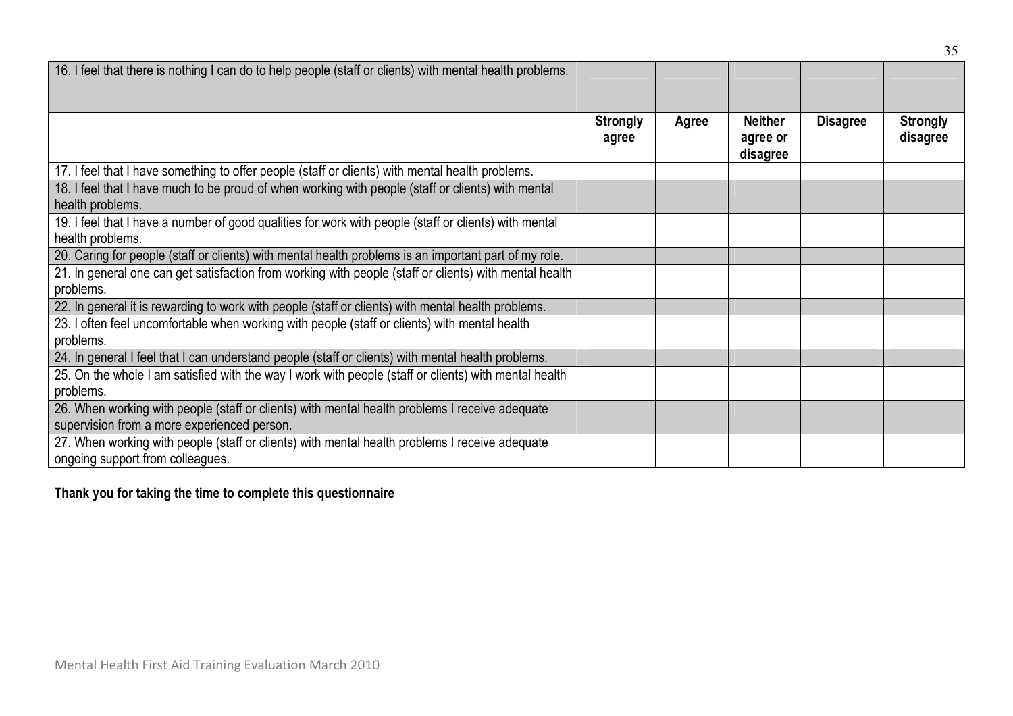| 16. I feel that there is nothing I can do to help people (staff or clients) with mental health problems. |                 |       |                      |                 |                 |
|----------------------------------------------------------------------------------------------------------|-----------------|-------|----------------------|-----------------|-----------------|
|                                                                                                          |                 |       |                      |                 |                 |
|                                                                                                          | <b>Strongly</b> | Agree | <b>Neither</b>       | <b>Disagree</b> | <b>Strongly</b> |
|                                                                                                          | agree           |       | agree or<br>disagree |                 | disagree        |
| 17. I feel that I have something to offer people (staff or clients) with mental health problems.         |                 |       |                      |                 |                 |
| 18. I feel that I have much to be proud of when working with people (staff or clients) with mental       |                 |       |                      |                 |                 |
| health problems.                                                                                         |                 |       |                      |                 |                 |
| 19. I feel that I have a number of good qualities for work with people (staff or clients) with mental    |                 |       |                      |                 |                 |
| health problems.                                                                                         |                 |       |                      |                 |                 |
| 20. Caring for people (staff or clients) with mental health problems is an important part of my role.    |                 |       |                      |                 |                 |
| 21. In general one can get satisfaction from working with people (staff or clients) with mental health   |                 |       |                      |                 |                 |
| problems.                                                                                                |                 |       |                      |                 |                 |
| 22. In general it is rewarding to work with people (staff or clients) with mental health problems.       |                 |       |                      |                 |                 |
| 23. I often feel uncomfortable when working with people (staff or clients) with mental health            |                 |       |                      |                 |                 |
| problems.                                                                                                |                 |       |                      |                 |                 |
| 24. In general I feel that I can understand people (staff or clients) with mental health problems.       |                 |       |                      |                 |                 |
| 25. On the whole I am satisfied with the way I work with people (staff or clients) with mental health    |                 |       |                      |                 |                 |
| problems.                                                                                                |                 |       |                      |                 |                 |
| 26. When working with people (staff or clients) with mental health problems I receive adequate           |                 |       |                      |                 |                 |
| supervision from a more experienced person.                                                              |                 |       |                      |                 |                 |
| 27. When working with people (staff or clients) with mental health problems I receive adequate           |                 |       |                      |                 |                 |
| ongoing support from colleagues.                                                                         |                 |       |                      |                 |                 |

## Thank you for taking the time to complete this questionnaire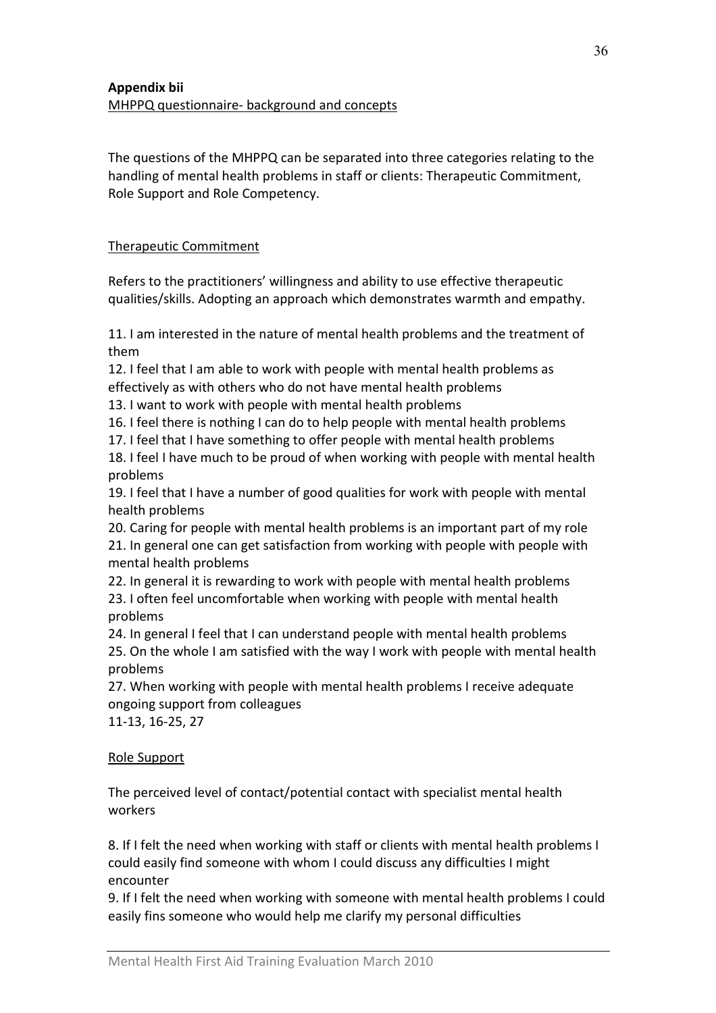The questions of the MHPPQ can be separated into three categories relating to the handling of mental health problems in staff or clients: Therapeutic Commitment, Role Support and Role Competency.

## Therapeutic Commitment

Refers to the practitioners' willingness and ability to use effective therapeutic qualities/skills. Adopting an approach which demonstrates warmth and empathy.

11. I am interested in the nature of mental health problems and the treatment of them

12. I feel that I am able to work with people with mental health problems as effectively as with others who do not have mental health problems

13. I want to work with people with mental health problems

16. I feel there is nothing I can do to help people with mental health problems

17. I feel that I have something to offer people with mental health problems

18. I feel I have much to be proud of when working with people with mental health problems

19. I feel that I have a number of good qualities for work with people with mental health problems

20. Caring for people with mental health problems is an important part of my role 21. In general one can get satisfaction from working with people with people with mental health problems

22. In general it is rewarding to work with people with mental health problems 23. I often feel uncomfortable when working with people with mental health problems

24. In general I feel that I can understand people with mental health problems 25. On the whole I am satisfied with the way I work with people with mental health problems

27. When working with people with mental health problems I receive adequate ongoing support from colleagues

11-13, 16-25, 27

Role Support

The perceived level of contact/potential contact with specialist mental health workers

8. If I felt the need when working with staff or clients with mental health problems I could easily find someone with whom I could discuss any difficulties I might encounter

9. If I felt the need when working with someone with mental health problems I could easily fins someone who would help me clarify my personal difficulties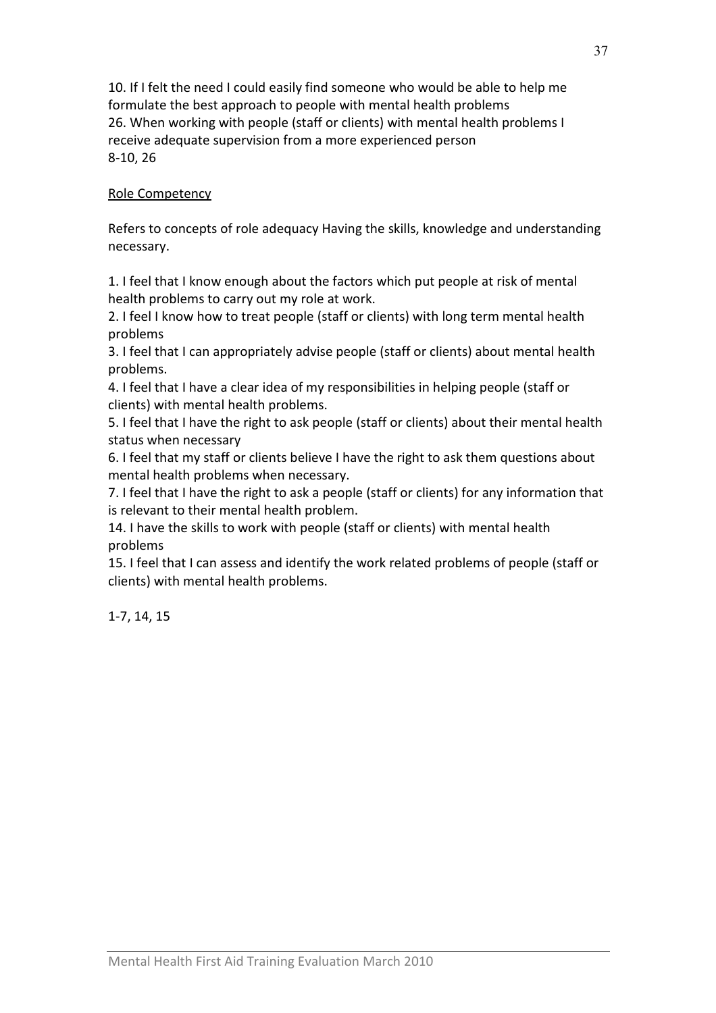10. If I felt the need I could easily find someone who would be able to help me formulate the best approach to people with mental health problems 26. When working with people (staff or clients) with mental health problems I receive adequate supervision from a more experienced person 8-10, 26

## Role Competency

Refers to concepts of role adequacy Having the skills, knowledge and understanding necessary.

1. I feel that I know enough about the factors which put people at risk of mental health problems to carry out my role at work.

2. I feel I know how to treat people (staff or clients) with long term mental health problems

3. I feel that I can appropriately advise people (staff or clients) about mental health problems.

4. I feel that I have a clear idea of my responsibilities in helping people (staff or clients) with mental health problems.

5. I feel that I have the right to ask people (staff or clients) about their mental health status when necessary

6. I feel that my staff or clients believe I have the right to ask them questions about mental health problems when necessary.

7. I feel that I have the right to ask a people (staff or clients) for any information that is relevant to their mental health problem.

14. I have the skills to work with people (staff or clients) with mental health problems

15. I feel that I can assess and identify the work related problems of people (staff or clients) with mental health problems.

1-7, 14, 15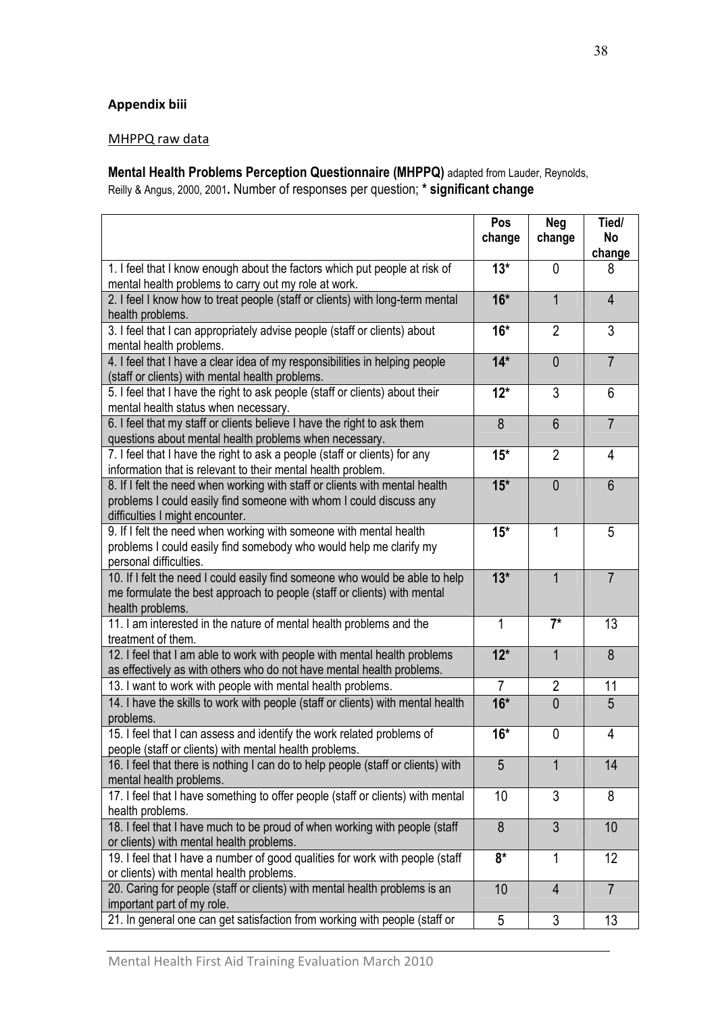## Appendix biii

#### MHPPQ raw data

Mental Health Problems Perception Questionnaire (MHPPQ) adapted from Lauder, Reynolds, Reilly & Angus, 2000, 2001. Number of responses per question; \* significant change

|                                                                                                                                                                                      | Pos<br>change  | <b>Neg</b><br>change | Tied/<br>No<br>change |
|--------------------------------------------------------------------------------------------------------------------------------------------------------------------------------------|----------------|----------------------|-----------------------|
| 1. I feel that I know enough about the factors which put people at risk of<br>mental health problems to carry out my role at work.                                                   | $13*$          | 0                    | 8                     |
| 2. I feel I know how to treat people (staff or clients) with long-term mental<br>health problems.                                                                                    | $16*$          | 1                    | $\overline{4}$        |
| 3. I feel that I can appropriately advise people (staff or clients) about<br>mental health problems.                                                                                 | $16*$          | $\overline{2}$       | 3                     |
| 4. I feel that I have a clear idea of my responsibilities in helping people<br>(staff or clients) with mental health problems.                                                       | $14*$          | $\overline{0}$       | $\overline{7}$        |
| 5. I feel that I have the right to ask people (staff or clients) about their<br>mental health status when necessary.                                                                 | $12*$          | 3                    | 6                     |
| 6. I feel that my staff or clients believe I have the right to ask them<br>questions about mental health problems when necessary.                                                    | 8              | $6\phantom{1}$       | $\overline{7}$        |
| 7. I feel that I have the right to ask a people (staff or clients) for any<br>information that is relevant to their mental health problem.                                           | $15*$          | $\overline{2}$       | 4                     |
| 8. If I felt the need when working with staff or clients with mental health<br>problems I could easily find someone with whom I could discuss any<br>difficulties I might encounter. | $15*$          | $\overline{0}$       | 6                     |
| 9. If I felt the need when working with someone with mental health<br>problems I could easily find somebody who would help me clarify my<br>personal difficulties.                   | $15*$          | 1                    | 5                     |
| 10. If I felt the need I could easily find someone who would be able to help<br>me formulate the best approach to people (staff or clients) with mental<br>health problems.          | $13*$          | $\overline{1}$       | $\overline{7}$        |
| 11. I am interested in the nature of mental health problems and the<br>treatment of them.                                                                                            | 1              | $7^*$                | 13                    |
| 12. I feel that I am able to work with people with mental health problems<br>as effectively as with others who do not have mental health problems.                                   | $12*$          | 1                    | 8                     |
| 13. I want to work with people with mental health problems.                                                                                                                          | $\overline{7}$ | $\overline{2}$       | 11                    |
| 14. I have the skills to work with people (staff or clients) with mental health<br>problems.                                                                                         | $16*$          | $\overline{0}$       | 5                     |
| 15. I feel that I can assess and identify the work related problems of<br>people (staff or clients) with mental health problems.                                                     | $16*$          | 0                    | 4                     |
| 16. I feel that there is nothing I can do to help people (staff or clients) with<br>mental health problems.                                                                          | 5              | $\mathbf{1}$         | 14                    |
| 17. I feel that I have something to offer people (staff or clients) with mental<br>health problems.                                                                                  | 10             | 3                    | 8                     |
| 18. I feel that I have much to be proud of when working with people (staff<br>or clients) with mental health problems.                                                               | 8              | $\overline{3}$       | 10                    |
| 19. I feel that I have a number of good qualities for work with people (staff<br>or clients) with mental health problems.                                                            | $8*$           | 1                    | 12                    |
| 20. Caring for people (staff or clients) with mental health problems is an<br>important part of my role.                                                                             | 10             | $\overline{4}$       | $\overline{7}$        |
| 21. In general one can get satisfaction from working with people (staff or                                                                                                           | 5              | $\sqrt{3}$           | 13                    |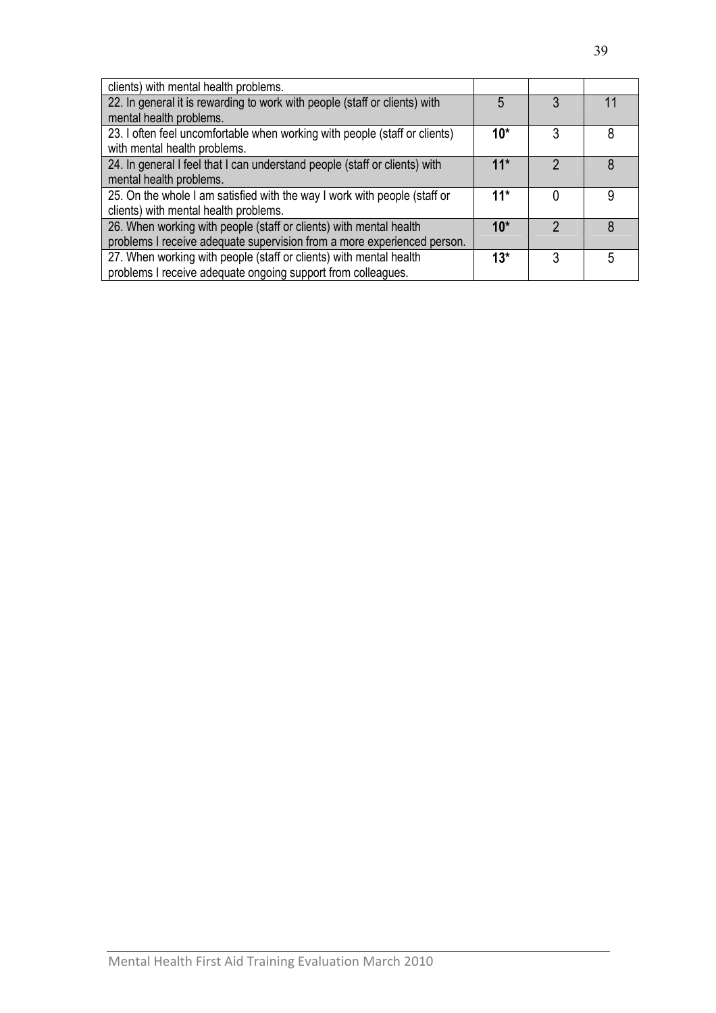| clients) with mental health problems.                                      |       |   |   |
|----------------------------------------------------------------------------|-------|---|---|
| 22. In general it is rewarding to work with people (staff or clients) with | 5     | 3 |   |
| mental health problems.                                                    |       |   |   |
| 23. I often feel uncomfortable when working with people (staff or clients) | $10*$ | 3 | 8 |
| with mental health problems.                                               |       |   |   |
| 24. In general I feel that I can understand people (staff or clients) with | $11*$ | າ | 8 |
| mental health problems.                                                    |       |   |   |
| 25. On the whole I am satisfied with the way I work with people (staff or  | $11*$ |   | 9 |
| clients) with mental health problems.                                      |       |   |   |
| 26. When working with people (staff or clients) with mental health         | $10*$ | າ | 8 |
| problems I receive adequate supervision from a more experienced person.    |       |   |   |
| 27. When working with people (staff or clients) with mental health         | $13*$ | 3 | 5 |
| problems I receive adequate ongoing support from colleagues.               |       |   |   |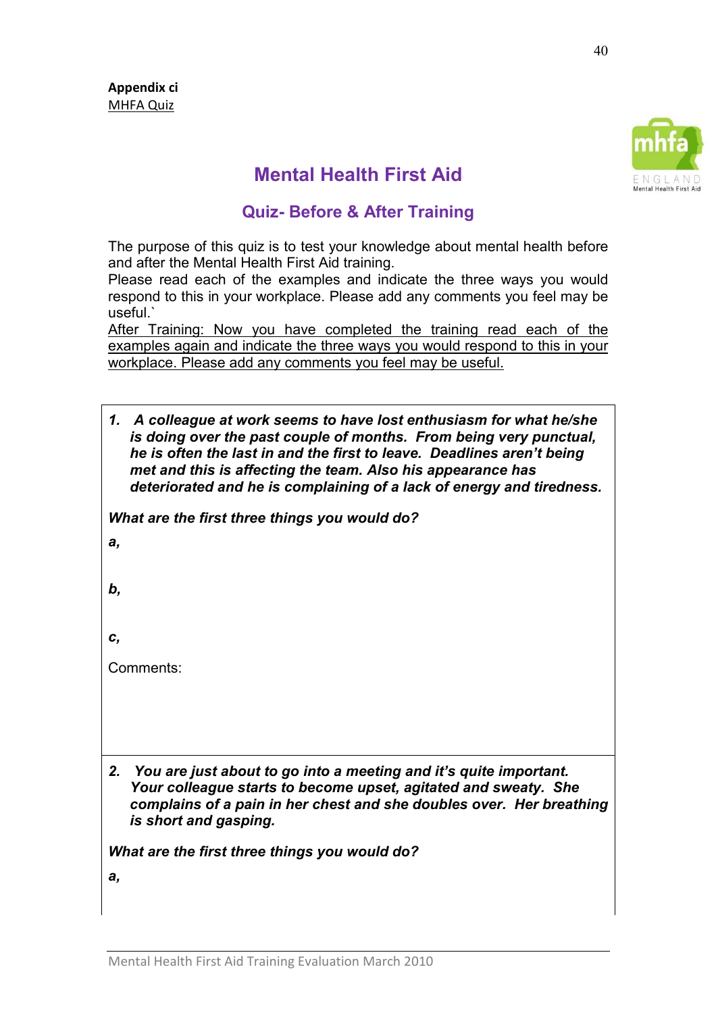

# Mental Health First Aid

## Quiz- Before & After Training

The purpose of this quiz is to test your knowledge about mental health before and after the Mental Health First Aid training.

Please read each of the examples and indicate the three ways you would respond to this in your workplace. Please add any comments you feel may be useful.`

After Training: Now you have completed the training read each of the examples again and indicate the three ways you would respond to this in your workplace. Please add any comments you feel may be useful.

1. A colleague at work seems to have lost enthusiasm for what he/she is doing over the past couple of months. From being very punctual, he is often the last in and the first to leave. Deadlines aren't being met and this is affecting the team. Also his appearance has deteriorated and he is complaining of a lack of energy and tiredness.

What are the first three things you would do?

a,

b,

c,

Comments:

2. You are just about to go into a meeting and it's quite important. Your colleague starts to become upset, agitated and sweaty. She complains of a pain in her chest and she doubles over. Her breathing is short and gasping.

What are the first three things you would do?

a,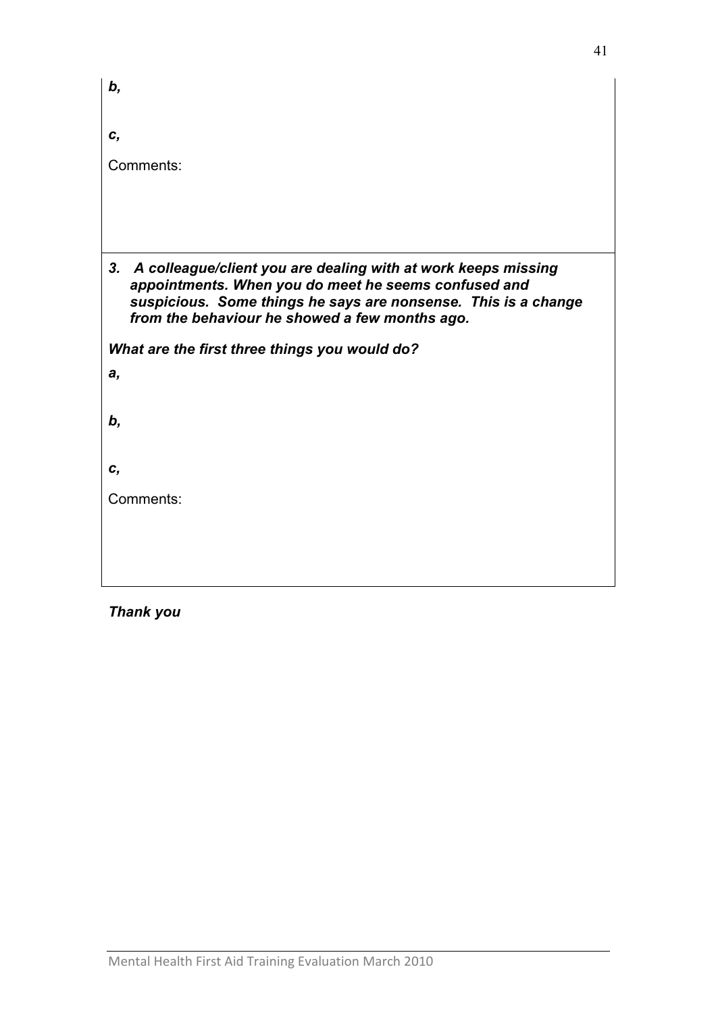| b,                                                                                                                                      |  |  |  |  |  |  |  |
|-----------------------------------------------------------------------------------------------------------------------------------------|--|--|--|--|--|--|--|
| С,                                                                                                                                      |  |  |  |  |  |  |  |
| Comments:                                                                                                                               |  |  |  |  |  |  |  |
|                                                                                                                                         |  |  |  |  |  |  |  |
|                                                                                                                                         |  |  |  |  |  |  |  |
| 3 <sub>r</sub><br>A colleague/client you are dealing with at work keeps missing<br>appointments. When you do meet he seems confused and |  |  |  |  |  |  |  |
| suspicious. Some things he says are nonsense. This is a change<br>from the behaviour he showed a few months ago.                        |  |  |  |  |  |  |  |
| What are the first three things you would do?                                                                                           |  |  |  |  |  |  |  |
| а,                                                                                                                                      |  |  |  |  |  |  |  |
| b,                                                                                                                                      |  |  |  |  |  |  |  |
|                                                                                                                                         |  |  |  |  |  |  |  |
| c,                                                                                                                                      |  |  |  |  |  |  |  |
| Comments:                                                                                                                               |  |  |  |  |  |  |  |
|                                                                                                                                         |  |  |  |  |  |  |  |
|                                                                                                                                         |  |  |  |  |  |  |  |
|                                                                                                                                         |  |  |  |  |  |  |  |

Thank you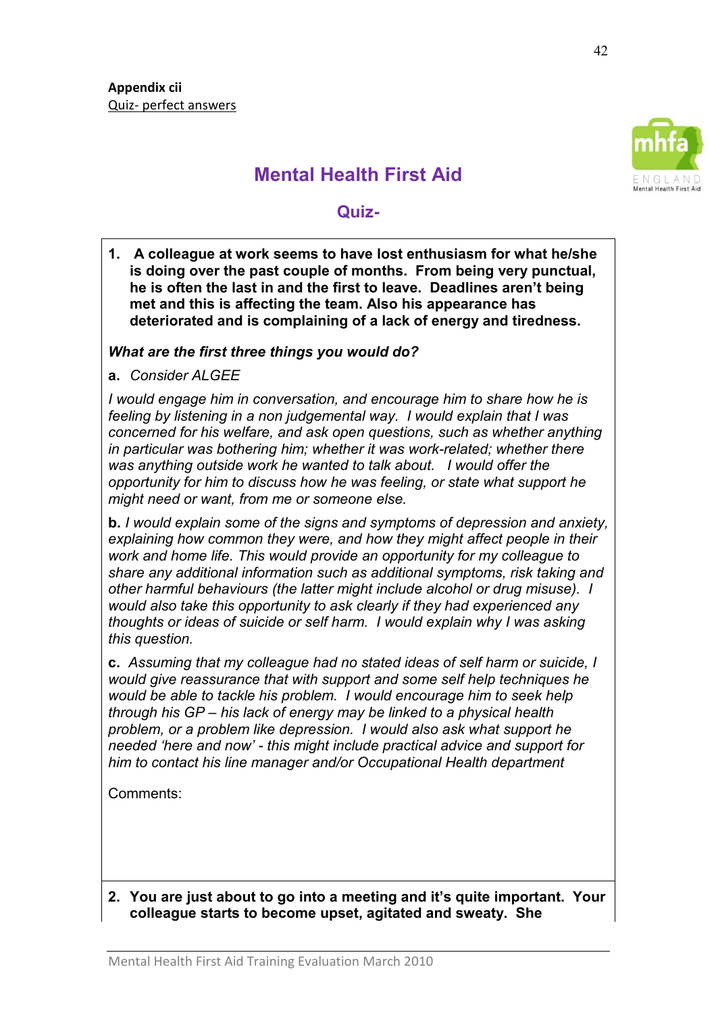

# Mental Health First Aid

## Quiz-

1. A colleague at work seems to have lost enthusiasm for what he/she is doing over the past couple of months. From being very punctual, he is often the last in and the first to leave. Deadlines aren't being met and this is affecting the team. Also his appearance has deteriorated and is complaining of a lack of energy and tiredness.

## What are the first three things you would do?

a. Consider ALGEE

I would engage him in conversation, and encourage him to share how he is feeling by listening in a non judgemental way. I would explain that I was concerned for his welfare, and ask open questions, such as whether anything in particular was bothering him; whether it was work-related; whether there was anything outside work he wanted to talk about. I would offer the opportunity for him to discuss how he was feeling, or state what support he might need or want, from me or someone else.

b. I would explain some of the signs and symptoms of depression and anxiety, explaining how common they were, and how they might affect people in their work and home life. This would provide an opportunity for my colleague to share any additional information such as additional symptoms, risk taking and other harmful behaviours (the latter might include alcohol or drug misuse). I would also take this opportunity to ask clearly if they had experienced any thoughts or ideas of suicide or self harm. I would explain why I was asking this question.

c. Assuming that my colleague had no stated ideas of self harm or suicide, I would give reassurance that with support and some self help techniques he would be able to tackle his problem. I would encourage him to seek help through his GP – his lack of energy may be linked to a physical health problem, or a problem like depression. I would also ask what support he needed 'here and now' - this might include practical advice and support for him to contact his line manager and/or Occupational Health department

Comments:

## 2. You are just about to go into a meeting and it's quite important. Your colleague starts to become upset, agitated and sweaty. She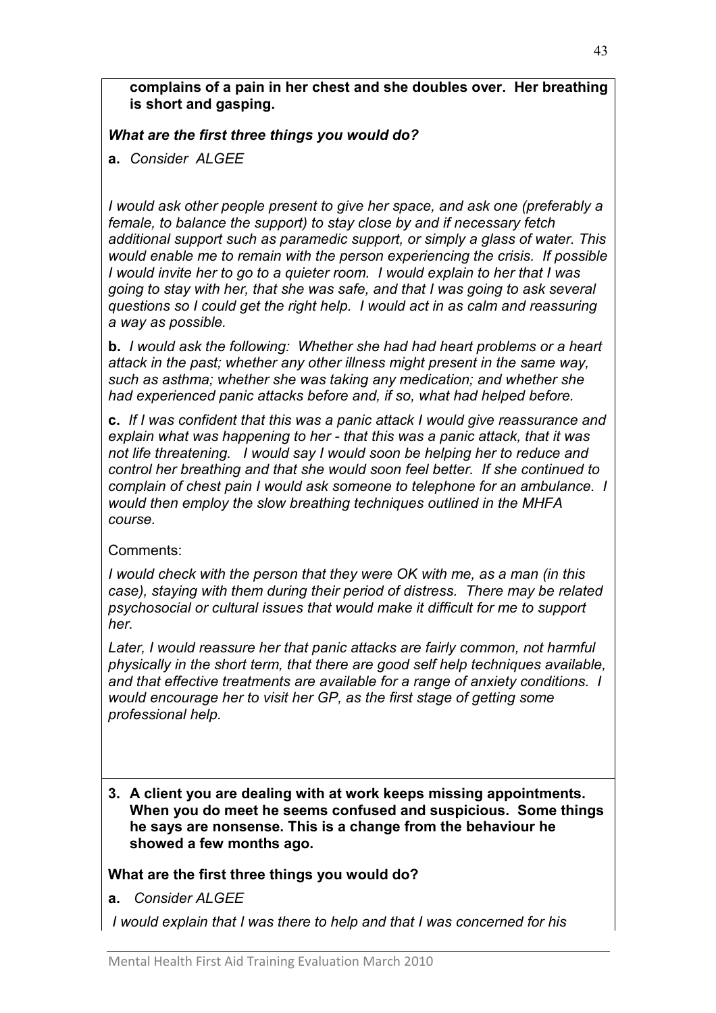complains of a pain in her chest and she doubles over. Her breathing is short and gasping.

What are the first three things you would do?

a. Consider ALGEE

I would ask other people present to give her space, and ask one (preferably a female, to balance the support) to stay close by and if necessary fetch additional support such as paramedic support, or simply a glass of water. This would enable me to remain with the person experiencing the crisis. If possible I would invite her to go to a quieter room. I would explain to her that I was going to stay with her, that she was safe, and that I was going to ask several questions so I could get the right help. I would act in as calm and reassuring a way as possible.

b. I would ask the following: Whether she had had heart problems or a heart attack in the past; whether any other illness might present in the same way, such as asthma; whether she was taking any medication; and whether she had experienced panic attacks before and, if so, what had helped before.

c. If I was confident that this was a panic attack I would give reassurance and explain what was happening to her - that this was a panic attack, that it was not life threatening. I would say I would soon be helping her to reduce and control her breathing and that she would soon feel better. If she continued to complain of chest pain I would ask someone to telephone for an ambulance. I would then employ the slow breathing techniques outlined in the MHFA course.

## Comments:

I would check with the person that they were OK with me, as a man (in this case), staying with them during their period of distress. There may be related psychosocial or cultural issues that would make it difficult for me to support her.

Later, I would reassure her that panic attacks are fairly common, not harmful physically in the short term, that there are good self help techniques available, and that effective treatments are available for a range of anxiety conditions. I would encourage her to visit her GP, as the first stage of getting some professional help.

3. A client you are dealing with at work keeps missing appointments. When you do meet he seems confused and suspicious. Some things he says are nonsense. This is a change from the behaviour he showed a few months ago.

## What are the first three things you would do?

a. Consider ALGEE

I would explain that I was there to help and that I was concerned for his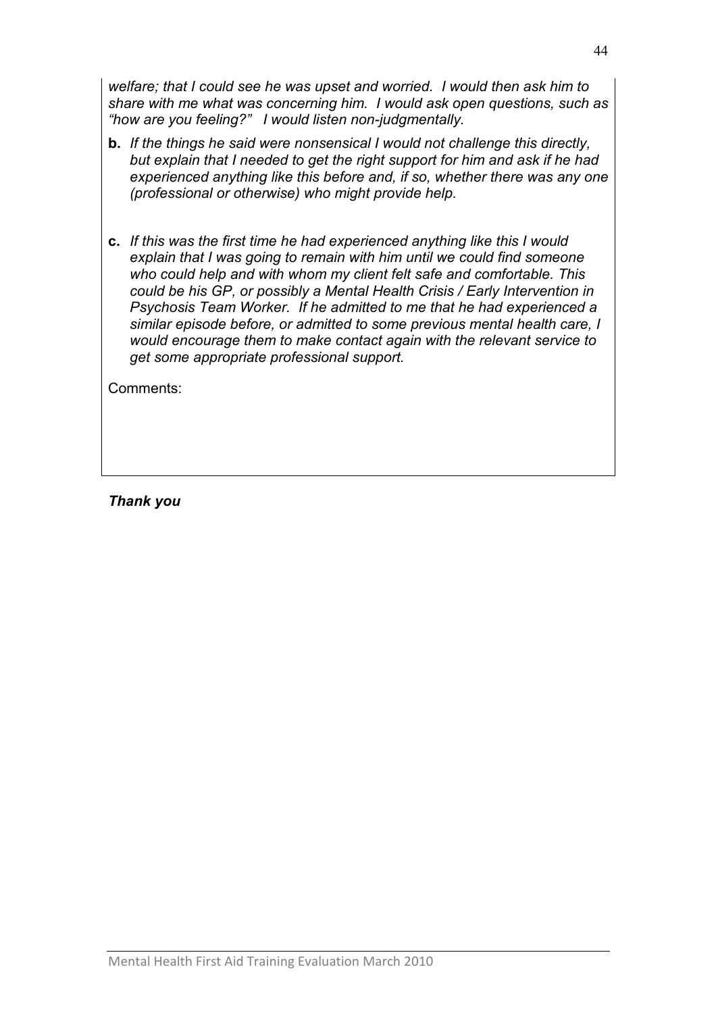welfare; that I could see he was upset and worried. I would then ask him to share with me what was concerning him. I would ask open questions, such as "how are you feeling?" I would listen non-judgmentally.

- b. If the things he said were nonsensical I would not challenge this directly, but explain that I needed to get the right support for him and ask if he had experienced anything like this before and, if so, whether there was any one (professional or otherwise) who might provide help.
- c. If this was the first time he had experienced anything like this I would explain that I was going to remain with him until we could find someone who could help and with whom my client felt safe and comfortable. This could be his GP, or possibly a Mental Health Crisis / Early Intervention in Psychosis Team Worker. If he admitted to me that he had experienced a similar episode before, or admitted to some previous mental health care, I would encourage them to make contact again with the relevant service to get some appropriate professional support.

Comments:

Thank you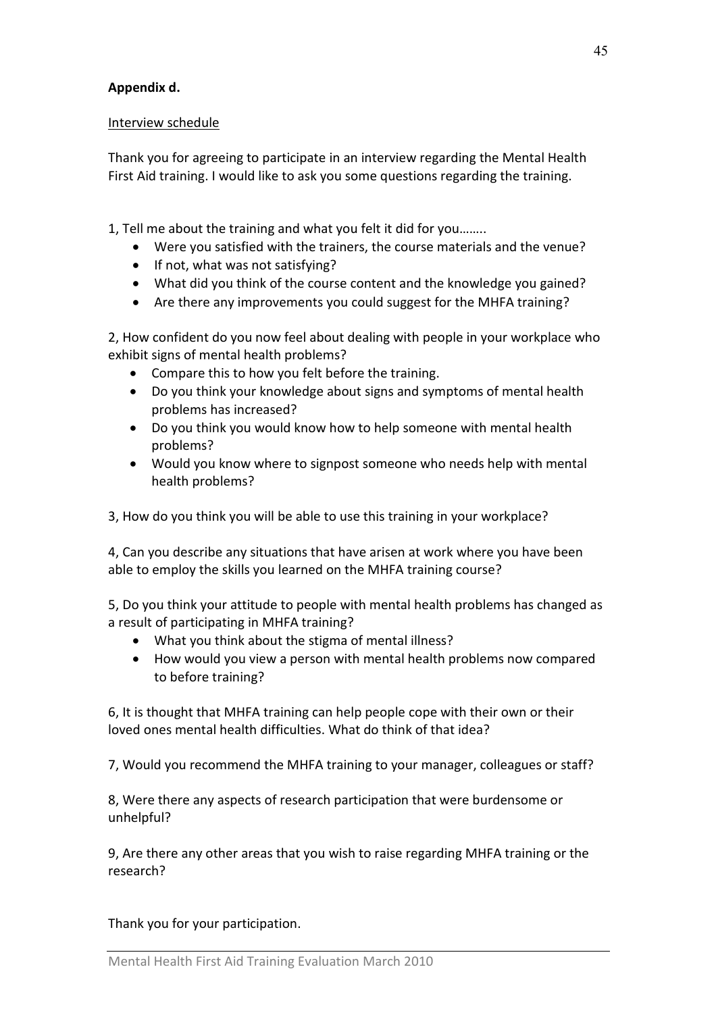## Appendix d.

#### Interview schedule

Thank you for agreeing to participate in an interview regarding the Mental Health First Aid training. I would like to ask you some questions regarding the training.

1, Tell me about the training and what you felt it did for you……..

- Were you satisfied with the trainers, the course materials and the venue?
- If not, what was not satisfying?
- What did you think of the course content and the knowledge you gained?
- Are there any improvements you could suggest for the MHFA training?

2, How confident do you now feel about dealing with people in your workplace who exhibit signs of mental health problems?

- Compare this to how you felt before the training.
- Do you think your knowledge about signs and symptoms of mental health problems has increased?
- Do you think you would know how to help someone with mental health problems?
- Would you know where to signpost someone who needs help with mental health problems?

3, How do you think you will be able to use this training in your workplace?

4, Can you describe any situations that have arisen at work where you have been able to employ the skills you learned on the MHFA training course?

5, Do you think your attitude to people with mental health problems has changed as a result of participating in MHFA training?

- What you think about the stigma of mental illness?
- How would you view a person with mental health problems now compared to before training?

6, It is thought that MHFA training can help people cope with their own or their loved ones mental health difficulties. What do think of that idea?

7, Would you recommend the MHFA training to your manager, colleagues or staff?

8, Were there any aspects of research participation that were burdensome or unhelpful?

9, Are there any other areas that you wish to raise regarding MHFA training or the research?

Thank you for your participation.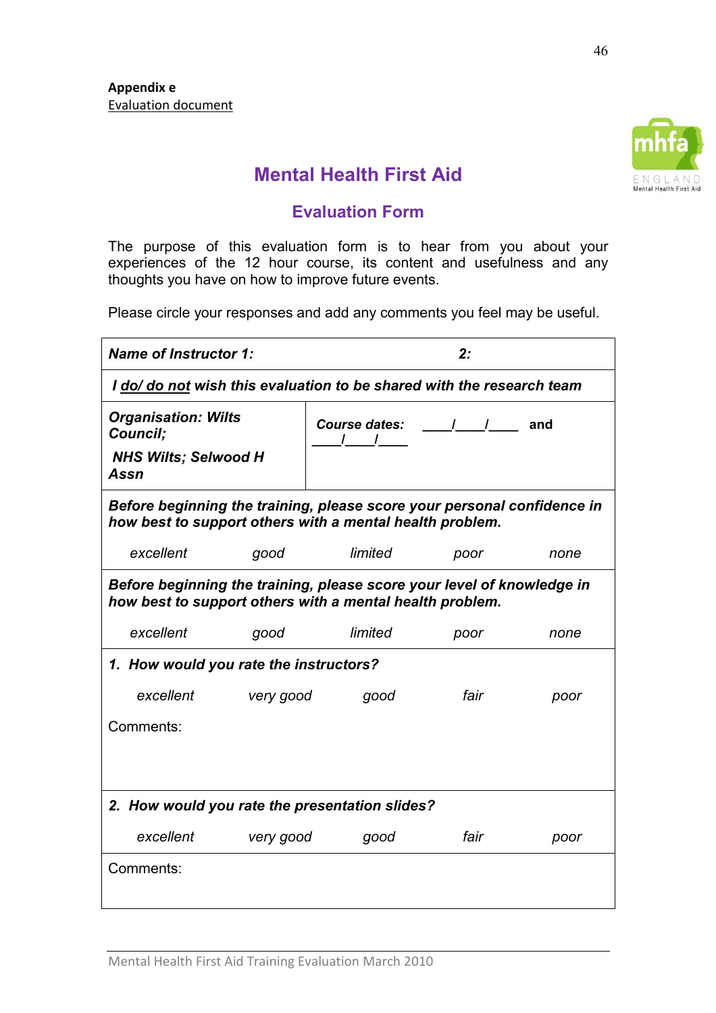

# Mental Health First Aid

## Evaluation Form

The purpose of this evaluation form is to hear from you about your experiences of the 12 hour course, its content and usefulness and any thoughts you have on how to improve future events.

Please circle your responses and add any comments you feel may be useful.

| <b>Name of Instructor 1:</b>                                                                                                        |                  | 2:                                                                           |      |      |  |  |  |  |
|-------------------------------------------------------------------------------------------------------------------------------------|------------------|------------------------------------------------------------------------------|------|------|--|--|--|--|
| I do/ do not wish this evaluation to be shared with the research team                                                               |                  |                                                                              |      |      |  |  |  |  |
| <b>Organisation: Wilts</b><br>Council;<br><b>NHS Wilts; Selwood H</b><br>Assn                                                       |                  | Course dates: ______________ and<br>$\begin{array}{ccc} & & I & \end{array}$ |      |      |  |  |  |  |
| Before beginning the training, please score your personal confidence in<br>how best to support others with a mental health problem. |                  |                                                                              |      |      |  |  |  |  |
| excellent                                                                                                                           | good             | limited                                                                      | poor | none |  |  |  |  |
| Before beginning the training, please score your level of knowledge in<br>how best to support others with a mental health problem.  |                  |                                                                              |      |      |  |  |  |  |
| excellent                                                                                                                           | good             | limited                                                                      | poor | none |  |  |  |  |
| 1. How would you rate the instructors?                                                                                              |                  |                                                                              |      |      |  |  |  |  |
| excellent                                                                                                                           | <b>very good</b> | good                                                                         | fair | poor |  |  |  |  |
| Comments:                                                                                                                           |                  |                                                                              |      |      |  |  |  |  |
| 2. How would you rate the presentation slides?                                                                                      |                  |                                                                              |      |      |  |  |  |  |
| excellent                                                                                                                           | very good        | good                                                                         | fair | poor |  |  |  |  |
| Comments:                                                                                                                           |                  |                                                                              |      |      |  |  |  |  |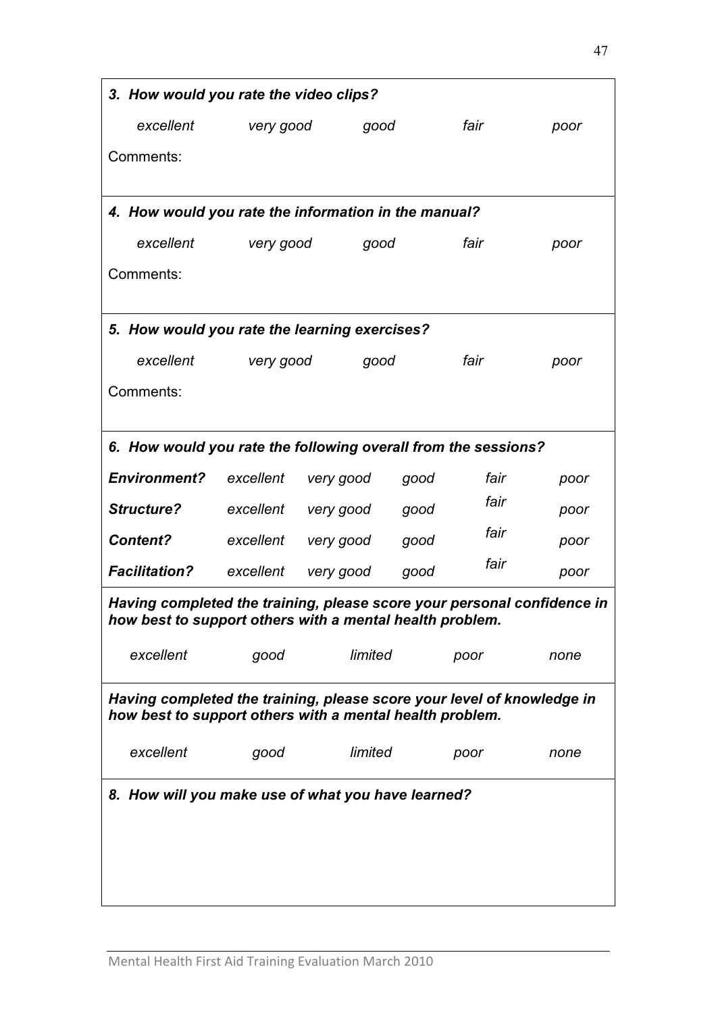| 3. How would you rate the video clips?                                                                                             |                   |           |      |      |      |  |  |  |  |
|------------------------------------------------------------------------------------------------------------------------------------|-------------------|-----------|------|------|------|--|--|--|--|
| excellent                                                                                                                          | very good         |           | good | fair | poor |  |  |  |  |
| Comments:                                                                                                                          |                   |           |      |      |      |  |  |  |  |
|                                                                                                                                    |                   |           |      |      |      |  |  |  |  |
| 4. How would you rate the information in the manual?                                                                               |                   |           |      |      |      |  |  |  |  |
| excellent                                                                                                                          | very good<br>good |           |      | fair | poor |  |  |  |  |
| Comments:                                                                                                                          |                   |           |      |      |      |  |  |  |  |
|                                                                                                                                    |                   |           |      |      |      |  |  |  |  |
| 5. How would you rate the learning exercises?                                                                                      |                   |           |      |      |      |  |  |  |  |
| excellent                                                                                                                          | very good<br>good |           |      | fair | poor |  |  |  |  |
| Comments:                                                                                                                          |                   |           |      |      |      |  |  |  |  |
|                                                                                                                                    |                   |           |      |      |      |  |  |  |  |
| 6. How would you rate the following overall from the sessions?                                                                     |                   |           |      |      |      |  |  |  |  |
| <b>Environment?</b>                                                                                                                | excellent         | very good | good | fair | poor |  |  |  |  |
| <b>Structure?</b>                                                                                                                  | excellent         | very good | good | fair | poor |  |  |  |  |
| <b>Content?</b>                                                                                                                    | excellent         | very good | good | fair | poor |  |  |  |  |
| <b>Facilitation?</b>                                                                                                               | excellent         | very good | good | fair | poor |  |  |  |  |
| Having completed the training, please score your personal confidence in                                                            |                   |           |      |      |      |  |  |  |  |
| how best to support others with a mental health problem.                                                                           |                   |           |      |      |      |  |  |  |  |
| excellent                                                                                                                          | good              | limited   |      | poor | none |  |  |  |  |
|                                                                                                                                    |                   |           |      |      |      |  |  |  |  |
| Having completed the training, please score your level of knowledge in<br>how best to support others with a mental health problem. |                   |           |      |      |      |  |  |  |  |
| excellent                                                                                                                          | good              | limited   |      | poor | none |  |  |  |  |
|                                                                                                                                    |                   |           |      |      |      |  |  |  |  |
| 8. How will you make use of what you have learned?                                                                                 |                   |           |      |      |      |  |  |  |  |
|                                                                                                                                    |                   |           |      |      |      |  |  |  |  |
|                                                                                                                                    |                   |           |      |      |      |  |  |  |  |
|                                                                                                                                    |                   |           |      |      |      |  |  |  |  |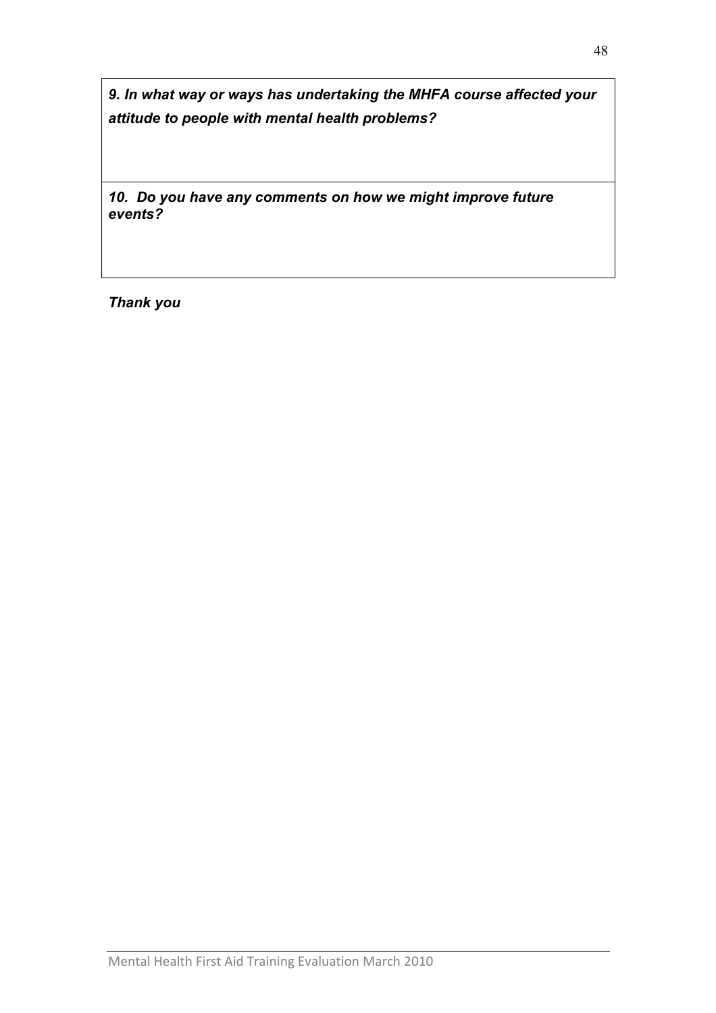9. In what way or ways has undertaking the MHFA course affected your attitude to people with mental health problems?

10. Do you have any comments on how we might improve future events?

Thank you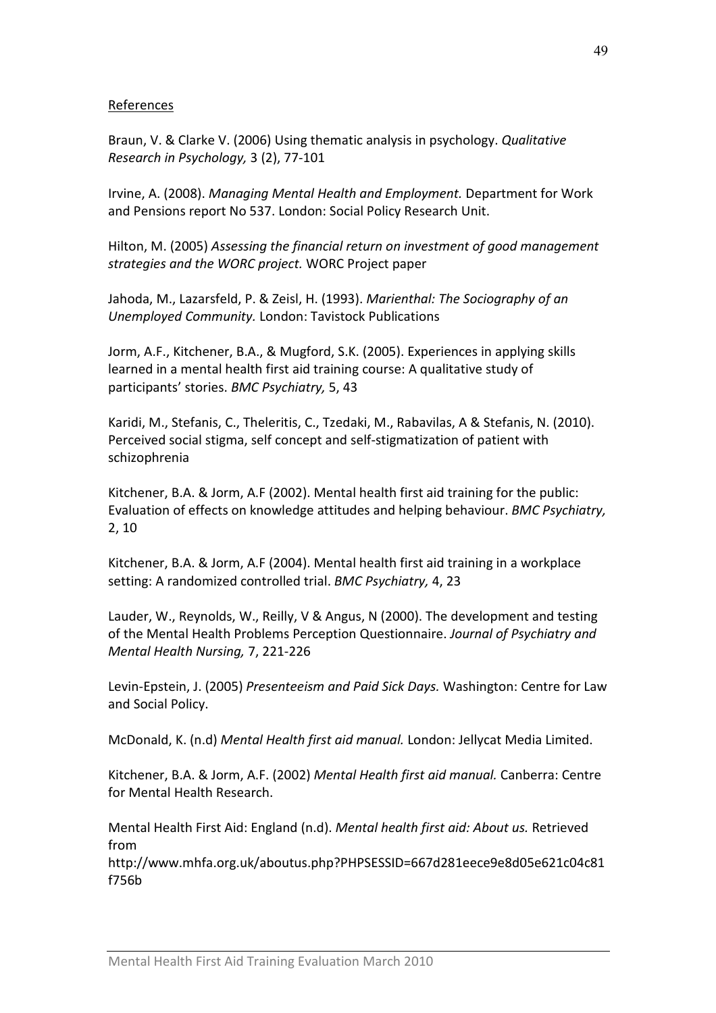#### References

Braun, V. & Clarke V. (2006) Using thematic analysis in psychology. Qualitative Research in Psychology, 3 (2), 77-101

Irvine, A. (2008). Managing Mental Health and Employment. Department for Work and Pensions report No 537. London: Social Policy Research Unit.

Hilton, M. (2005) Assessing the financial return on investment of good management strategies and the WORC project. WORC Project paper

Jahoda, M., Lazarsfeld, P. & Zeisl, H. (1993). Marienthal: The Sociography of an Unemployed Community. London: Tavistock Publications

Jorm, A.F., Kitchener, B.A., & Mugford, S.K. (2005). Experiences in applying skills learned in a mental health first aid training course: A qualitative study of participants' stories. BMC Psychiatry, 5, 43

Karidi, M., Stefanis, C., Theleritis, C., Tzedaki, M., Rabavilas, A & Stefanis, N. (2010). Perceived social stigma, self concept and self-stigmatization of patient with schizophrenia

Kitchener, B.A. & Jorm, A.F (2002). Mental health first aid training for the public: Evaluation of effects on knowledge attitudes and helping behaviour. BMC Psychiatry, 2, 10

Kitchener, B.A. & Jorm, A.F (2004). Mental health first aid training in a workplace setting: A randomized controlled trial. BMC Psychiatry, 4, 23

Lauder, W., Reynolds, W., Reilly, V & Angus, N (2000). The development and testing of the Mental Health Problems Perception Questionnaire. Journal of Psychiatry and Mental Health Nursing, 7, 221-226

Levin-Epstein, J. (2005) Presenteeism and Paid Sick Days. Washington: Centre for Law and Social Policy.

McDonald, K. (n.d) Mental Health first aid manual. London: Jellycat Media Limited.

Kitchener, B.A. & Jorm, A.F. (2002) Mental Health first aid manual. Canberra: Centre for Mental Health Research.

Mental Health First Aid: England (n.d). Mental health first aid: About us. Retrieved from

http://www.mhfa.org.uk/aboutus.php?PHPSESSID=667d281eece9e8d05e621c04c81 f756b